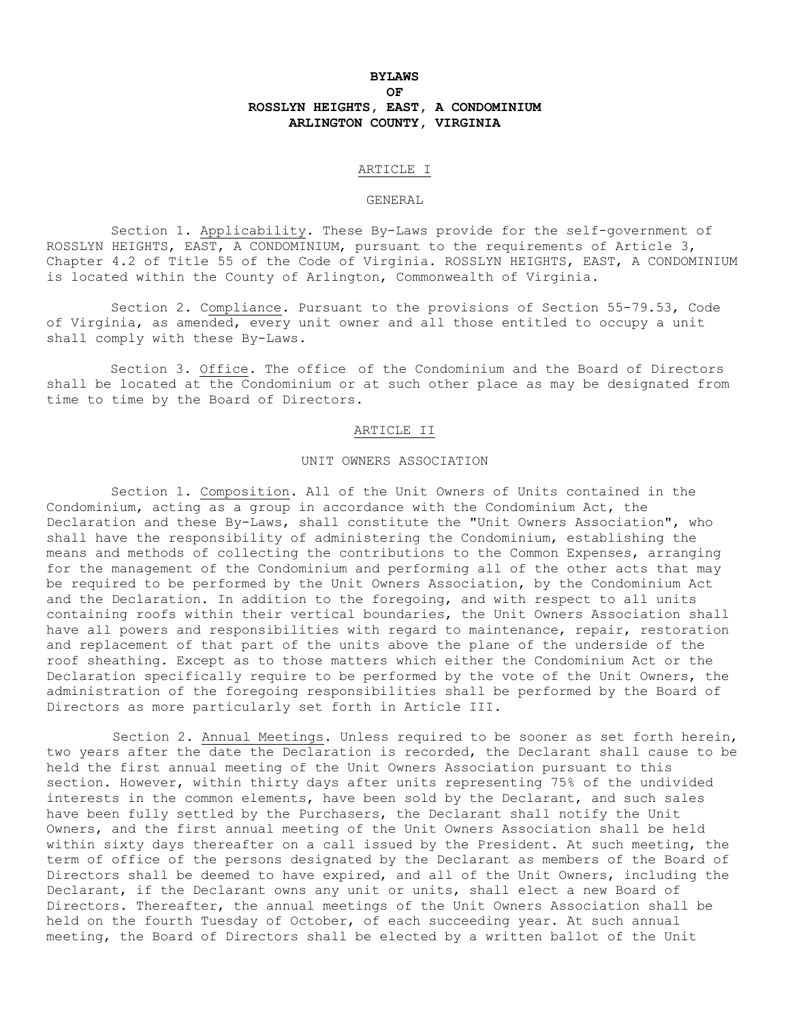# **BYLAWS OF ROSSLYN HEIGHTS, EAST, A CONDOMINIUM ARLINGTON COUNTY, VIRGINIA**

### ARTICLE I

#### GENERAL

Section 1. Applicability. These By-Laws provide for the self-government of ROSSLYN HEIGHTS, EAST, A CONDOMINIUM, pursuant to the requirements of Article 3, Chapter 4.2 of Title 55 of the Code of Virginia. ROSSLYN HEIGHTS, EAST, A CONDOMINIUM is located within the County of Arlington, Commonwealth of Virginia.

Section 2. Compliance. Pursuant to the provisions of Section 55-79.53, Code of Virginia, as amended, every unit owner and all those entitled to occupy a unit shall comply with these By-Laws.

Section 3. Office. The office of the Condominium and the Board of Directors shall be located at the Condominium or at such other place as may be designated from time to time by the Board of Directors.

### ARTICLE II

# UNIT OWNERS ASSOCIATION

Section 1. Composition. All of the Unit Owners of Units contained in the Condominium, acting as a group in accordance with the Condominium Act, the Declaration and these By-Laws, shall constitute the "Unit Owners Association", who shall have the responsibility of administering the Condominium, establishing the means and methods of collecting the contributions to the Common Expenses, arranging for the management of the Condominium and performing all of the other acts that may be required to be performed by the Unit Owners Association, by the Condominium Act and the Declaration. In addition to the foregoing, and with respect to all units containing roofs within their vertical boundaries, the Unit Owners Association shall have all powers and responsibilities with regard to maintenance, repair, restoration and replacement of that part of the units above the plane of the underside of the roof sheathing. Except as to those matters which either the Condominium Act or the Declaration specifically require to be performed by the vote of the Unit Owners, the administration of the foregoing responsibilities shall be performed by the Board of Directors as more particularly set forth in Article III.

Section 2. Annual Meetings. Unless required to be sooner as set forth herein, two years after the date the Declaration is recorded, the Declarant shall cause to be held the first annual meeting of the Unit Owners Association pursuant to this section. However, within thirty days after units representing 75% of the undivided interests in the common elements, have been sold by the Declarant, and such sales have been fully settled by the Purchasers, the Declarant shall notify the Unit Owners, and the first annual meeting of the Unit Owners Association shall be held within sixty days thereafter on a call issued by the President. At such meeting, the term of office of the persons designated by the Declarant as members of the Board of Directors shall be deemed to have expired, and all of the Unit Owners, including the Declarant, if the Declarant owns any unit or units, shall elect a new Board of Directors. Thereafter, the annual meetings of the Unit Owners Association shall be held on the fourth Tuesday of October, of each succeeding year. At such annual meeting, the Board of Directors shall be elected by a written ballot of the Unit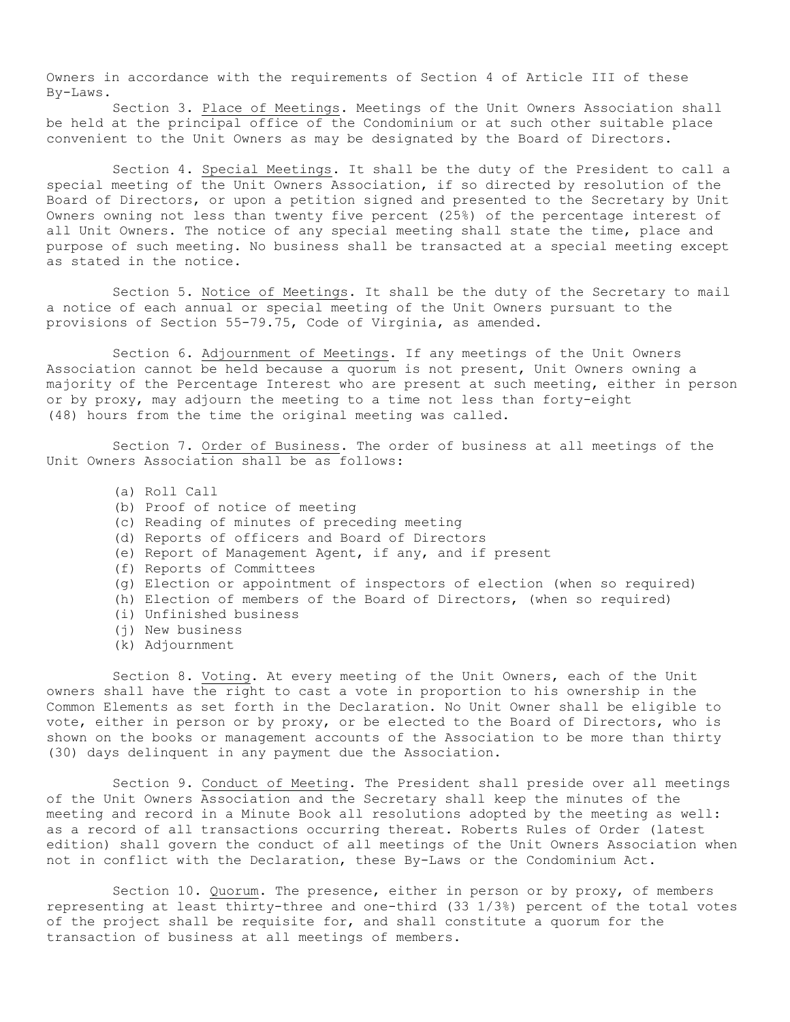Owners in accordance with the requirements of Section 4 of Article III of these By-Laws.

Section 3. Place of Meetings. Meetings of the Unit Owners Association shall be held at the principal office of the Condominium or at such other suitable place convenient to the Unit Owners as may be designated by the Board of Directors.

Section 4. Special Meetings. It shall be the duty of the President to call a special meeting of the Unit Owners Association, if so directed by resolution of the Board of Directors, or upon a petition signed and presented to the Secretary by Unit Owners owning not less than twenty five percent (25%) of the percentage interest of all Unit Owners. The notice of any special meeting shall state the time, place and purpose of such meeting. No business shall be transacted at a special meeting except as stated in the notice.

Section 5. Notice of Meetings. It shall be the duty of the Secretary to mail a notice of each annual or special meeting of the Unit Owners pursuant to the provisions of Section 55-79.75, Code of Virginia, as amended.

Section 6. Adjournment of Meetings. If any meetings of the Unit Owners Association cannot be held because a quorum is not present, Unit Owners owning a majority of the Percentage Interest who are present at such meeting, either in person or by proxy, may adjourn the meeting to a time not less than forty-eight (48) hours from the time the original meeting was called.

Section 7. Order of Business. The order of business at all meetings of the Unit Owners Association shall be as follows:

- (a) Roll Call
- (b) Proof of notice of meeting
- (c) Reading of minutes of preceding meeting
- (d) Reports of officers and Board of Directors
- (e) Report of Management Agent, if any, and if present
- (f) Reports of Committees
- (g) Election or appointment of inspectors of election (when so required)
- (h) Election of members of the Board of Directors, (when so required)
- (i) Unfinished business
- (j) New business
- (k) Adjournment

Section 8. Voting. At every meeting of the Unit Owners, each of the Unit owners shall have the right to cast a vote in proportion to his ownership in the Common Elements as set forth in the Declaration. No Unit Owner shall be eligible to vote, either in person or by proxy, or be elected to the Board of Directors, who is shown on the books or management accounts of the Association to be more than thirty (30) days delinquent in any payment due the Association.

Section 9. Conduct of Meeting. The President shall preside over all meetings of the Unit Owners Association and the Secretary shall keep the minutes of the meeting and record in a Minute Book all resolutions adopted by the meeting as well: as a record of all transactions occurring thereat. Roberts Rules of Order (latest edition) shall govern the conduct of all meetings of the Unit Owners Association when not in conflict with the Declaration, these By-Laws or the Condominium Act.

Section 10. Quorum. The presence, either in person or by proxy, of members representing at least thirty-three and one-third (33 1/3%) percent of the total votes of the project shall be requisite for, and shall constitute a quorum for the transaction of business at all meetings of members.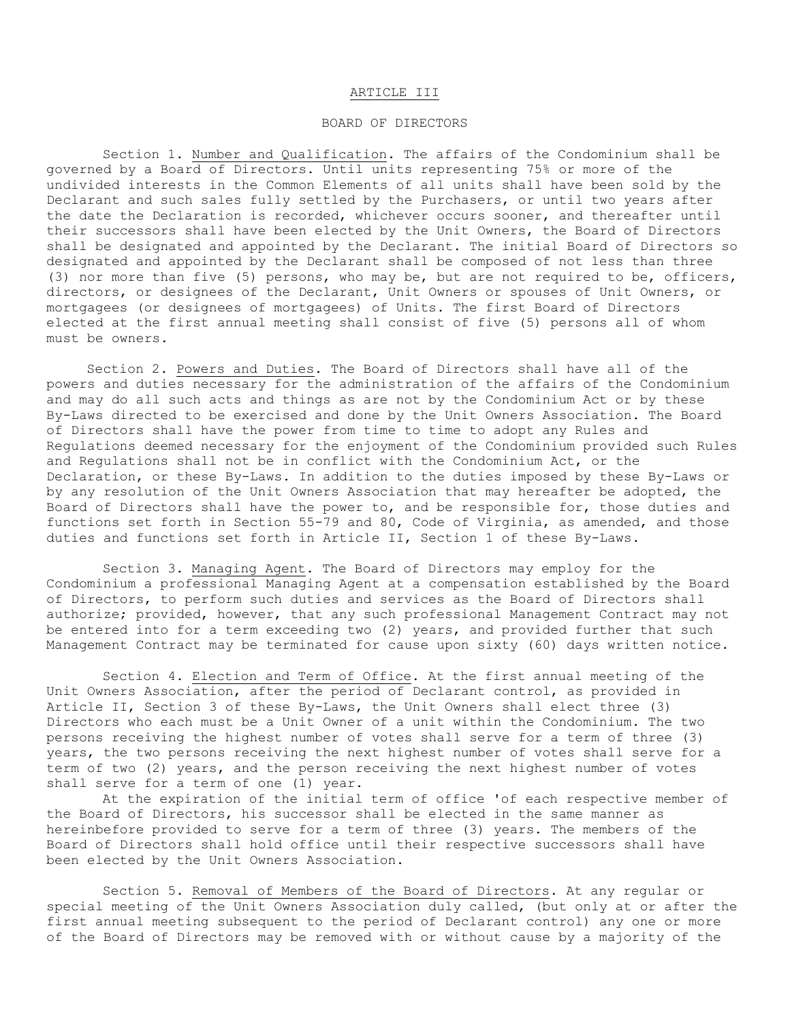## ARTICLE III

## BOARD OF DIRECTORS

Section 1. Number and Qualification. The affairs of the Condominium shall be governed by a Board of Directors. Until units representing 75% or more of the undivided interests in the Common Elements of all units shall have been sold by the Declarant and such sales fully settled by the Purchasers, or until two years after the date the Declaration is recorded, whichever occurs sooner, and thereafter until their successors shall have been elected by the Unit Owners, the Board of Directors shall be designated and appointed by the Declarant. The initial Board of Directors so designated and appointed by the Declarant shall be composed of not less than three (3) nor more than five (5) persons, who may be, but are not required to be, officers, directors, or designees of the Declarant, Unit Owners or spouses of Unit Owners, or mortgagees (or designees of mortgagees) of Units. The first Board of Directors elected at the first annual meeting shall consist of five (5) persons all of whom must be owners.

Section 2. Powers and Duties. The Board of Directors shall have all of the powers and duties necessary for the administration of the affairs of the Condominium and may do all such acts and things as are not by the Condominium Act or by these By-Laws directed to be exercised and done by the Unit Owners Association. The Board of Directors shall have the power from time to time to adopt any Rules and Regulations deemed necessary for the enjoyment of the Condominium provided such Rules and Regulations shall not be in conflict with the Condominium Act, or the Declaration, or these By-Laws. In addition to the duties imposed by these By-Laws or by any resolution of the Unit Owners Association that may hereafter be adopted, the Board of Directors shall have the power to, and be responsible for, those duties and functions set forth in Section 55-79 and 80, Code of Virginia, as amended, and those duties and functions set forth in Article II, Section 1 of these By-Laws.

Section 3. Managing Agent. The Board of Directors may employ for the Condominium a professional Managing Agent at a compensation established by the Board of Directors, to perform such duties and services as the Board of Directors shall authorize; provided, however, that any such professional Management Contract may not be entered into for a term exceeding two (2) years, and provided further that such Management Contract may be terminated for cause upon sixty (60) days written notice.

Section 4. Election and Term of Office. At the first annual meeting of the Unit Owners Association, after the period of Declarant control, as provided in Article II, Section 3 of these By-Laws, the Unit Owners shall elect three (3) Directors who each must be a Unit Owner of a unit within the Condominium. The two persons receiving the highest number of votes shall serve for a term of three (3) years, the two persons receiving the next highest number of votes shall serve for a term of two (2) years, and the person receiving the next highest number of votes shall serve for a term of one (1) year.

At the expiration of the initial term of office 'of each respective member of the Board of Directors, his successor shall be elected in the same manner as hereinbefore provided to serve for a term of three (3) years. The members of the Board of Directors shall hold office until their respective successors shall have been elected by the Unit Owners Association.

Section 5. Removal of Members of the Board of Directors. At any regular or special meeting of the Unit Owners Association duly called, (but only at or after the first annual meeting subsequent to the period of Declarant control) any one or more of the Board of Directors may be removed with or without cause by a majority of the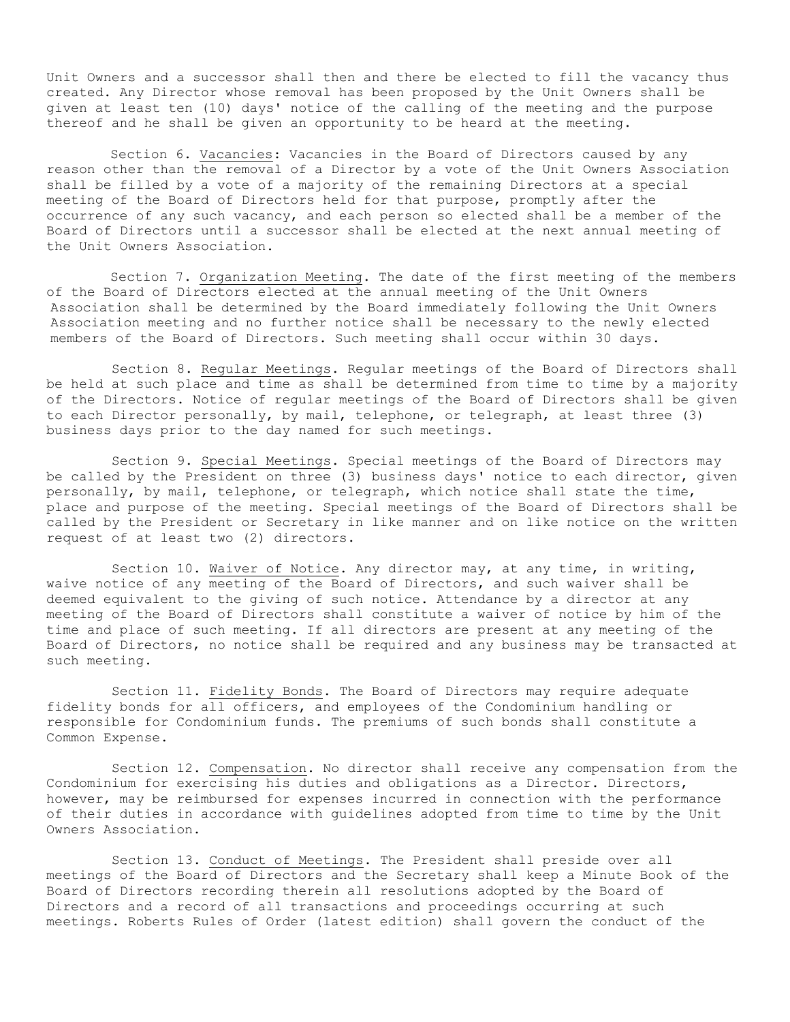Unit Owners and a successor shall then and there be elected to fill the vacancy thus created. Any Director whose removal has been proposed by the Unit Owners shall be given at least ten (10) days' notice of the calling of the meeting and the purpose thereof and he shall be given an opportunity to be heard at the meeting.

Section 6. Vacancies: Vacancies in the Board of Directors caused by any reason other than the removal of a Director by a vote of the Unit Owners Association shall be filled by a vote of a majority of the remaining Directors at a special meeting of the Board of Directors held for that purpose, promptly after the occurrence of any such vacancy, and each person so elected shall be a member of the Board of Directors until a successor shall be elected at the next annual meeting of the Unit Owners Association.

Section 7. Organization Meeting. The date of the first meeting of the members of the Board of Directors elected at the annual meeting of the Unit Owners Association shall be determined by the Board immediately following the Unit Owners Association meeting and no further notice shall be necessary to the newly elected members of the Board of Directors. Such meeting shall occur within 30 days.

Section 8. Regular Meetings. Regular meetings of the Board of Directors shall be held at such place and time as shall be determined from time to time by a majority of the Directors. Notice of regular meetings of the Board of Directors shall be given to each Director personally, by mail, telephone, or telegraph, at least three (3) business days prior to the day named for such meetings.

Section 9. Special Meetings. Special meetings of the Board of Directors may be called by the President on three (3) business days' notice to each director, given personally, by mail, telephone, or telegraph, which notice shall state the time, place and purpose of the meeting. Special meetings of the Board of Directors shall be called by the President or Secretary in like manner and on like notice on the written request of at least two (2) directors.

Section 10. Waiver of Notice. Any director may, at any time, in writing, waive notice of any meeting of the Board of Directors, and such waiver shall be deemed equivalent to the giving of such notice. Attendance by a director at any meeting of the Board of Directors shall constitute a waiver of notice by him of the time and place of such meeting. If all directors are present at any meeting of the Board of Directors, no notice shall be required and any business may be transacted at such meeting.

Section 11. Fidelity Bonds. The Board of Directors may require adequate fidelity bonds for all officers, and employees of the Condominium handling or responsible for Condominium funds. The premiums of such bonds shall constitute a Common Expense.

Section 12. Compensation. No director shall receive any compensation from the Condominium for exercising his duties and obligations as a Director. Directors, however, may be reimbursed for expenses incurred in connection with the performance of their duties in accordance with guidelines adopted from time to time by the Unit Owners Association.

Section 13. Conduct of Meetings. The President shall preside over all meetings of the Board of Directors and the Secretary shall keep a Minute Book of the Board of Directors recording therein all resolutions adopted by the Board of Directors and a record of all transactions and proceedings occurring at such meetings. Roberts Rules of Order (latest edition) shall govern the conduct of the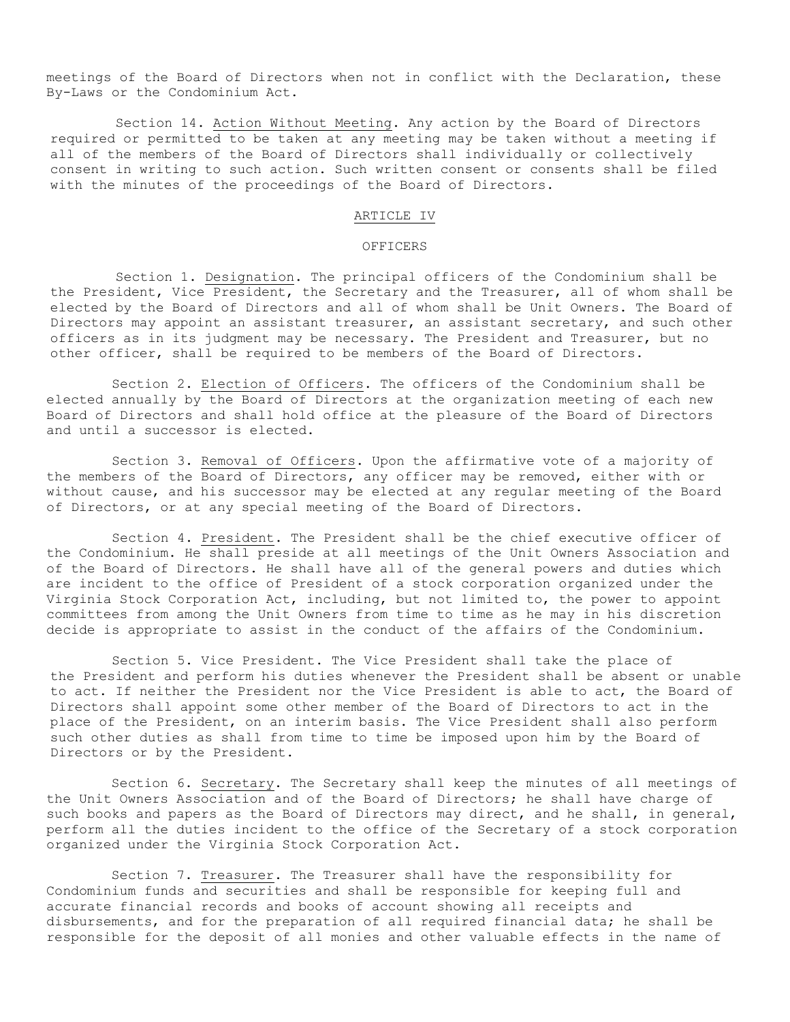meetings of the Board of Directors when not in conflict with the Declaration, these By-Laws or the Condominium Act.

Section 14. Action Without Meeting. Any action by the Board of Directors required or permitted to be taken at any meeting may be taken without a meeting if all of the members of the Board of Directors shall individually or collectively consent in writing to such action. Such written consent or consents shall be filed with the minutes of the proceedings of the Board of Directors.

## ARTICLE IV

## **OFFICERS**

Section 1. Designation. The principal officers of the Condominium shall be the President, Vice President, the Secretary and the Treasurer, all of whom shall be elected by the Board of Directors and all of whom shall be Unit Owners. The Board of Directors may appoint an assistant treasurer, an assistant secretary, and such other officers as in its judgment may be necessary. The President and Treasurer, but no other officer, shall be required to be members of the Board of Directors.

Section 2. Election of Officers. The officers of the Condominium shall be elected annually by the Board of Directors at the organization meeting of each new Board of Directors and shall hold office at the pleasure of the Board of Directors and until a successor is elected.

Section 3. Removal of Officers. Upon the affirmative vote of a majority of the members of the Board of Directors, any officer may be removed, either with or without cause, and his successor may be elected at any regular meeting of the Board of Directors, or at any special meeting of the Board of Directors.

Section 4. President. The President shall be the chief executive officer of the Condominium. He shall preside at all meetings of the Unit Owners Association and of the Board of Directors. He shall have all of the general powers and duties which are incident to the office of President of a stock corporation organized under the Virginia Stock Corporation Act, including, but not limited to, the power to appoint committees from among the Unit Owners from time to time as he may in his discretion decide is appropriate to assist in the conduct of the affairs of the Condominium.

Section 5. Vice President. The Vice President shall take the place of the President and perform his duties whenever the President shall be absent or unable to act. If neither the President nor the Vice President is able to act, the Board of Directors shall appoint some other member of the Board of Directors to act in the place of the President, on an interim basis. The Vice President shall also perform such other duties as shall from time to time be imposed upon him by the Board of Directors or by the President.

Section 6. Secretary. The Secretary shall keep the minutes of all meetings of the Unit Owners Association and of the Board of Directors; he shall have charge of such books and papers as the Board of Directors may direct, and he shall, in general, perform all the duties incident to the office of the Secretary of a stock corporation organized under the Virginia Stock Corporation Act.

Section 7. Treasurer. The Treasurer shall have the responsibility for Condominium funds and securities and shall be responsible for keeping full and accurate financial records and books of account showing all receipts and disbursements, and for the preparation of all required financial data; he shall be responsible for the deposit of all monies and other valuable effects in the name of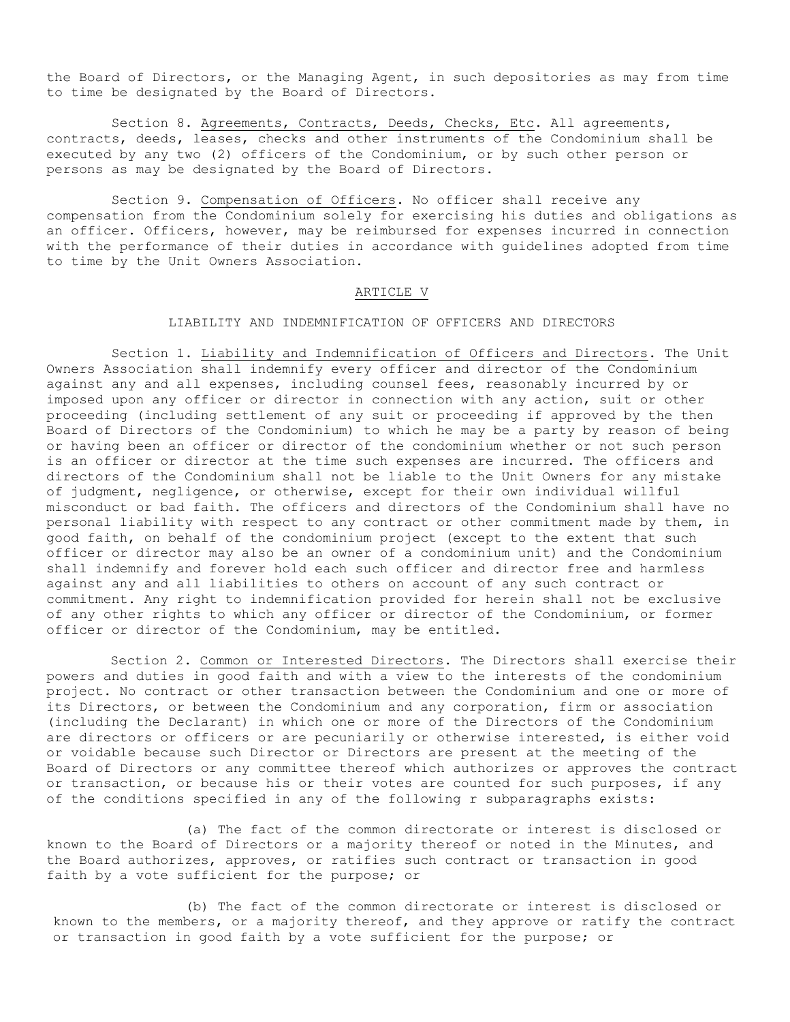the Board of Directors, or the Managing Agent, in such depositories as may from time to time be designated by the Board of Directors.

Section 8. Agreements, Contracts, Deeds, Checks, Etc. All agreements, contracts, deeds, leases, checks and other instruments of the Condominium shall be executed by any two (2) officers of the Condominium, or by such other person or persons as may be designated by the Board of Directors.

Section 9. Compensation of Officers. No officer shall receive any compensation from the Condominium solely for exercising his duties and obligations as an officer. Officers, however, may be reimbursed for expenses incurred in connection with the performance of their duties in accordance with guidelines adopted from time to time by the Unit Owners Association.

## ARTICLE V

# LIABILITY AND INDEMNIFICATION OF OFFICERS AND DIRECTORS

Section 1. Liability and Indemnification of Officers and Directors. The Unit Owners Association shall indemnify every officer and director of the Condominium against any and all expenses, including counsel fees, reasonably incurred by or imposed upon any officer or director in connection with any action, suit or other proceeding (including settlement of any suit or proceeding if approved by the then Board of Directors of the Condominium) to which he may be a party by reason of being or having been an officer or director of the condominium whether or not such person is an officer or director at the time such expenses are incurred. The officers and directors of the Condominium shall not be liable to the Unit Owners for any mistake of judgment, negligence, or otherwise, except for their own individual willful misconduct or bad faith. The officers and directors of the Condominium shall have no personal liability with respect to any contract or other commitment made by them, in good faith, on behalf of the condominium project (except to the extent that such officer or director may also be an owner of a condominium unit) and the Condominium shall indemnify and forever hold each such officer and director free and harmless against any and all liabilities to others on account of any such contract or commitment. Any right to indemnification provided for herein shall not be exclusive of any other rights to which any officer or director of the Condominium, or former officer or director of the Condominium, may be entitled.

Section 2. Common or Interested Directors. The Directors shall exercise their powers and duties in good faith and with a view to the interests of the condominium project. No contract or other transaction between the Condominium and one or more of its Directors, or between the Condominium and any corporation, firm or association (including the Declarant) in which one or more of the Directors of the Condominium are directors or officers or are pecuniarily or otherwise interested, is either void or voidable because such Director or Directors are present at the meeting of the Board of Directors or any committee thereof which authorizes or approves the contract or transaction, or because his or their votes are counted for such purposes, if any of the conditions specified in any of the following r subparagraphs exists:

(a) The fact of the common directorate or interest is disclosed or known to the Board of Directors or a majority thereof or noted in the Minutes, and the Board authorizes, approves, or ratifies such contract or transaction in good faith by a vote sufficient for the purpose; or

(b) The fact of the common directorate or interest is disclosed or known to the members, or a majority thereof, and they approve or ratify the contract or transaction in good faith by a vote sufficient for the purpose; or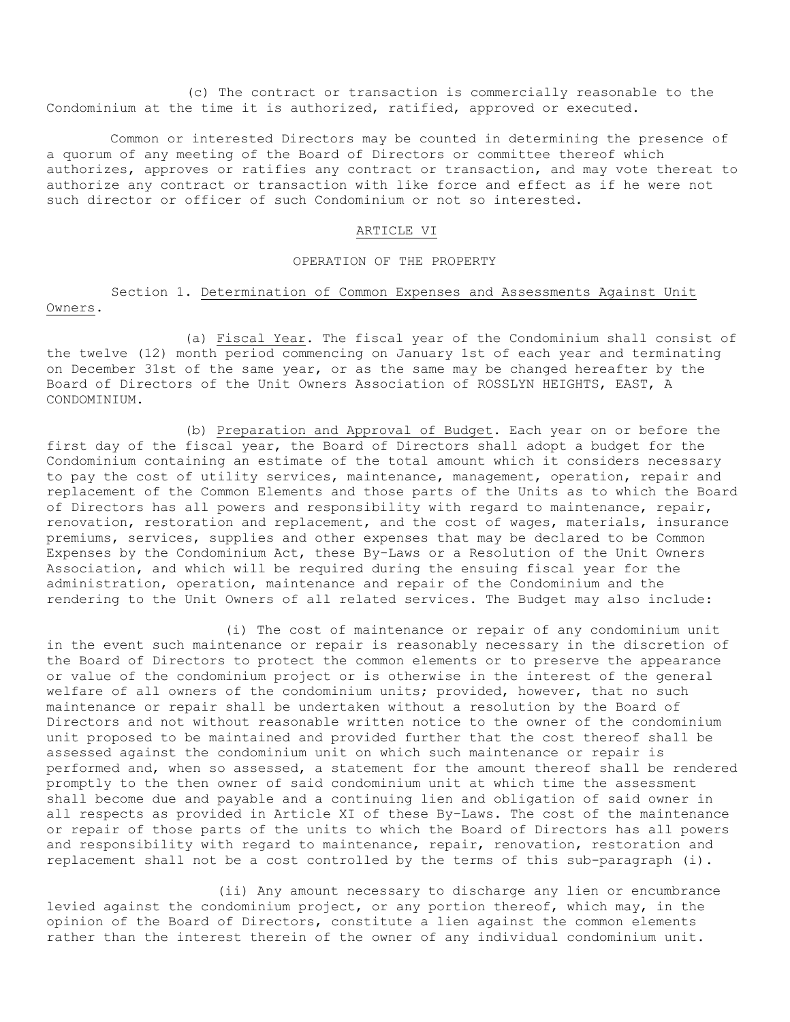(c) The contract or transaction is commercially reasonable to the Condominium at the time it is authorized, ratified, approved or executed.

Common or interested Directors may be counted in determining the presence of a quorum of any meeting of the Board of Directors or committee thereof which authorizes, approves or ratifies any contract or transaction, and may vote thereat to authorize any contract or transaction with like force and effect as if he were not such director or officer of such Condominium or not so interested.

#### ARTICLE VI

### OPERATION OF THE PROPERTY

Section 1. Determination of Common Expenses and Assessments Against Unit Owners.

(a) Fiscal Year. The fiscal year of the Condominium shall consist of the twelve (12) month period commencing on January 1st of each year and terminating on December 31st of the same year, or as the same may be changed hereafter by the Board of Directors of the Unit Owners Association of ROSSLYN HEIGHTS, EAST, A CONDOMINIUM.

(b) Preparation and Approval of Budget. Each year on or before the first day of the fiscal year, the Board of Directors shall adopt a budget for the Condominium containing an estimate of the total amount which it considers necessary to pay the cost of utility services, maintenance, management, operation, repair and replacement of the Common Elements and those parts of the Units as to which the Board of Directors has all powers and responsibility with regard to maintenance, repair, renovation, restoration and replacement, and the cost of wages, materials, insurance premiums, services, supplies and other expenses that may be declared to be Common Expenses by the Condominium Act, these By-Laws or a Resolution of the Unit Owners Association, and which will be required during the ensuing fiscal year for the administration, operation, maintenance and repair of the Condominium and the rendering to the Unit Owners of all related services. The Budget may also include:

(i) The cost of maintenance or repair of any condominium unit in the event such maintenance or repair is reasonably necessary in the discretion of the Board of Directors to protect the common elements or to preserve the appearance or value of the condominium project or is otherwise in the interest of the general welfare of all owners of the condominium units; provided, however, that no such maintenance or repair shall be undertaken without a resolution by the Board of Directors and not without reasonable written notice to the owner of the condominium unit proposed to be maintained and provided further that the cost thereof shall be assessed against the condominium unit on which such maintenance or repair is performed and, when so assessed, a statement for the amount thereof shall be rendered promptly to the then owner of said condominium unit at which time the assessment shall become due and payable and a continuing lien and obligation of said owner in all respects as provided in Article XI of these By-Laws. The cost of the maintenance or repair of those parts of the units to which the Board of Directors has all powers and responsibility with regard to maintenance, repair, renovation, restoration and replacement shall not be a cost controlled by the terms of this sub-paragraph (i).

(ii) Any amount necessary to discharge any lien or encumbrance levied against the condominium project, or any portion thereof, which may, in the opinion of the Board of Directors, constitute a lien against the common elements rather than the interest therein of the owner of any individual condominium unit.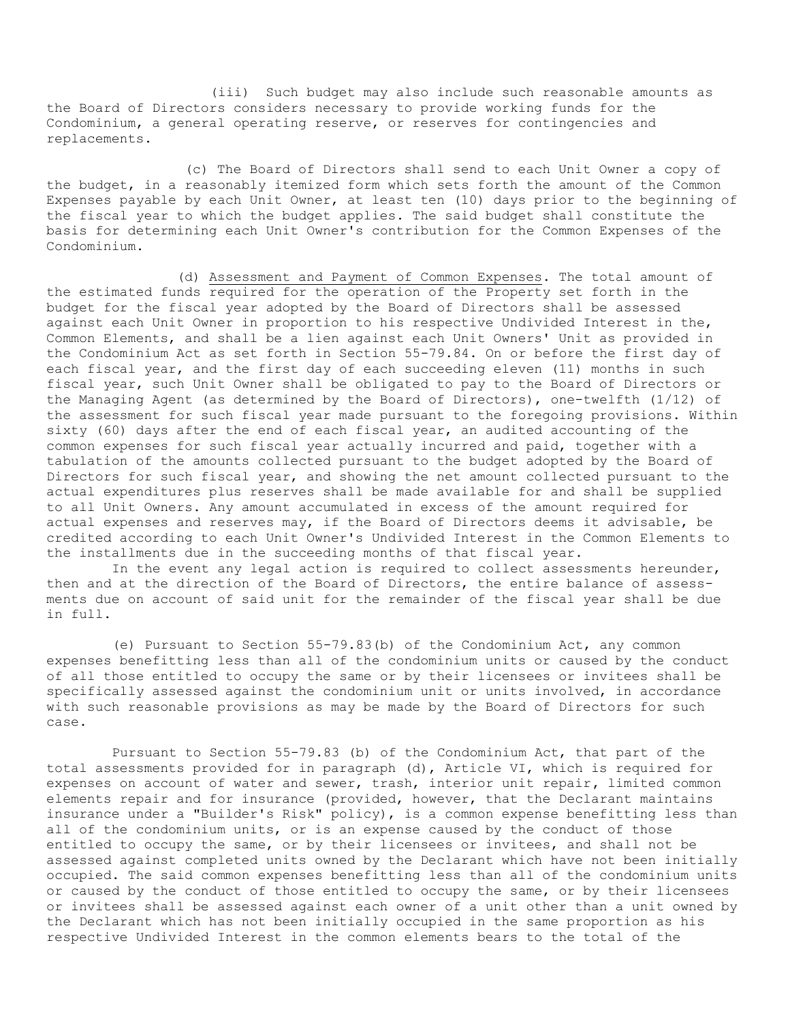(iii) Such budget may also include such reasonable amounts as the Board of Directors considers necessary to provide working funds for the Condominium, a general operating reserve, or reserves for contingencies and replacements.

(c) The Board of Directors shall send to each Unit Owner a copy of the budget, in a reasonably itemized form which sets forth the amount of the Common Expenses payable by each Unit Owner, at least ten (10) days prior to the beginning of the fiscal year to which the budget applies. The said budget shall constitute the basis for determining each Unit Owner's contribution for the Common Expenses of the Condominium.

(d) Assessment and Payment of Common Expenses. The total amount of the estimated funds required for the operation of the Property set forth in the budget for the fiscal year adopted by the Board of Directors shall be assessed against each Unit Owner in proportion to his respective Undivided Interest in the, Common Elements, and shall be a lien against each Unit Owners' Unit as provided in the Condominium Act as set forth in Section 55-79.84. On or before the first day of each fiscal year, and the first day of each succeeding eleven (11) months in such fiscal year, such Unit Owner shall be obligated to pay to the Board of Directors or the Managing Agent (as determined by the Board of Directors), one-twelfth (1/12) of the assessment for such fiscal year made pursuant to the foregoing provisions. Within sixty (60) days after the end of each fiscal year, an audited accounting of the common expenses for such fiscal year actually incurred and paid, together with a tabulation of the amounts collected pursuant to the budget adopted by the Board of Directors for such fiscal year, and showing the net amount collected pursuant to the actual expenditures plus reserves shall be made available for and shall be supplied to all Unit Owners. Any amount accumulated in excess of the amount required for actual expenses and reserves may, if the Board of Directors deems it advisable, be credited according to each Unit Owner's Undivided Interest in the Common Elements to the installments due in the succeeding months of that fiscal year.

In the event any legal action is required to collect assessments hereunder, then and at the direction of the Board of Directors, the entire balance of assessments due on account of said unit for the remainder of the fiscal year shall be due in full.

(e) Pursuant to Section 55-79.83(b) of the Condominium Act, any common expenses benefitting less than all of the condominium units or caused by the conduct of all those entitled to occupy the same or by their licensees or invitees shall be specifically assessed against the condominium unit or units involved, in accordance with such reasonable provisions as may be made by the Board of Directors for such case.

Pursuant to Section 55-79.83 (b) of the Condominium Act, that part of the total assessments provided for in paragraph (d), Article VI, which is required for expenses on account of water and sewer, trash, interior unit repair**,** limited common elements repair and for insurance (provided, however, that the Declarant maintains insurance under a "Builder's Risk" policy), is a common expense benefitting less than all of the condominium units, or is an expense caused by the conduct of those entitled to occupy the same, or by their licensees or invitees, and shall not be assessed against completed units owned by the Declarant which have not been initially occupied. The said common expenses benefitting less than all of the condominium units or caused by the conduct of those entitled to occupy the same, or by their licensees or invitees shall be assessed against each owner of a unit other than a unit owned by the Declarant which has not been initially occupied in the same proportion as his respective Undivided Interest in the common elements bears to the total of the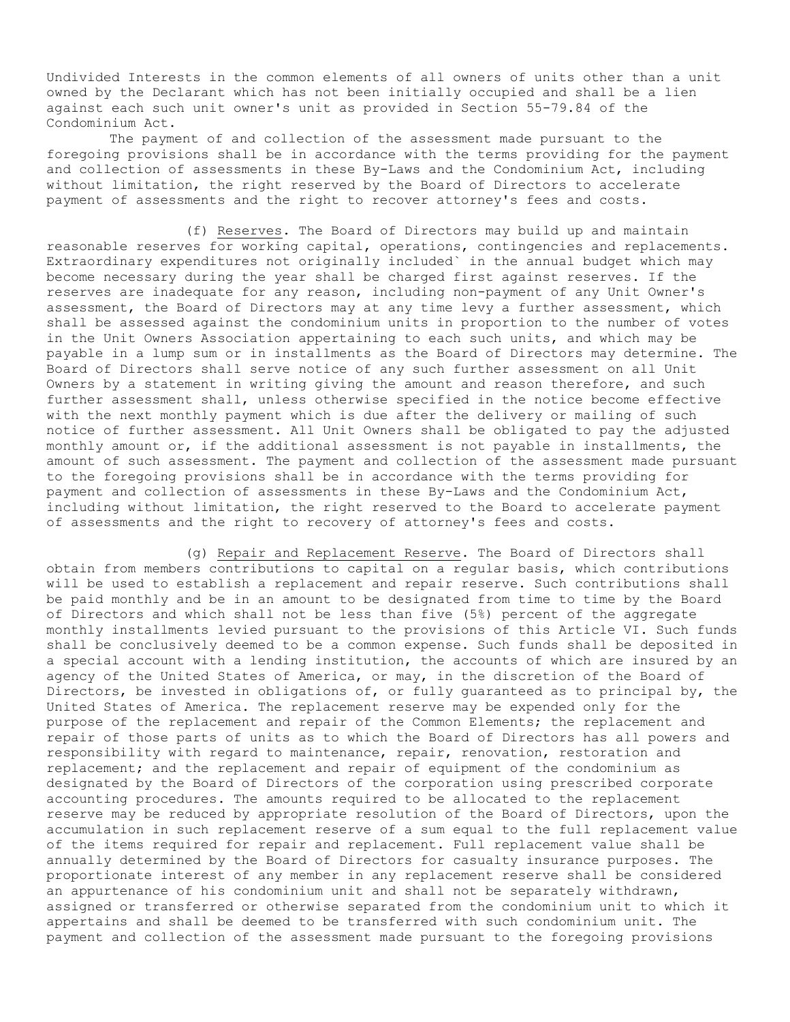Undivided Interests in the common elements of all owners of units other than a unit owned by the Declarant which has not been initially occupied and shall be a lien against each such unit owner's unit as provided in Section 55-79.84 of the Condominium Act.

The payment of and collection of the assessment made pursuant to the foregoing provisions shall be in accordance with the terms providing for the payment and collection of assessments in these By-Laws and the Condominium Act, including without limitation, the right reserved by the Board of Directors to accelerate payment of assessments and the right to recover attorney's fees and costs.

(f) Reserves. The Board of Directors may build up and maintain reasonable reserves for working capital, operations, contingencies and replacements. Extraordinary expenditures not originally included` in the annual budget which may become necessary during the year shall be charged first against reserves. If the reserves are inadequate for any reason, including non-payment of any Unit Owner's assessment, the Board of Directors may at any time levy a further assessment, which shall be assessed against the condominium units in proportion to the number of votes in the Unit Owners Association appertaining to each such units, and which may be payable in a lump sum or in installments as the Board of Directors may determine. The Board of Directors shall serve notice of any such further assessment on all Unit Owners by a statement in writing giving the amount and reason therefore, and such further assessment shall, unless otherwise specified in the notice become effective with the next monthly payment which is due after the delivery or mailing of such notice of further assessment. All Unit Owners shall be obligated to pay the adjusted monthly amount or, if the additional assessment is not payable in installments, the amount of such assessment. The payment and collection of the assessment made pursuant to the foregoing provisions shall be in accordance with the terms providing for payment and collection of assessments in these By-Laws and the Condominium Act, including without limitation, the right reserved to the Board to accelerate payment of assessments and the right to recovery of attorney's fees and costs.

(g) Repair and Replacement Reserve. The Board of Directors shall obtain from members contributions to capital on a regular basis, which contributions will be used to establish a replacement and repair reserve. Such contributions shall be paid monthly and be in an amount to be designated from time to time by the Board of Directors and which shall not be less than five (5%) percent of the aggregate monthly installments levied pursuant to the provisions of this Article VI. Such funds shall be conclusively deemed to be a common expense. Such funds shall be deposited in a special account with a lending institution, the accounts of which are insured by an agency of the United States of America, or may, in the discretion of the Board of Directors, be invested in obligations of, or fully guaranteed as to principal by, the United States of America. The replacement reserve may be expended only for the purpose of the replacement and repair of the Common Elements; the replacement and repair of those parts of units as to which the Board of Directors has all powers and responsibility with regard to maintenance, repair, renovation, restoration and replacement; and the replacement and repair of equipment of the condominium as designated by the Board of Directors of the corporation using prescribed corporate accounting procedures. The amounts required to be allocated to the replacement reserve may be reduced by appropriate resolution of the Board of Directors, upon the accumulation in such replacement reserve of a sum equal to the full replacement value of the items required for repair and replacement. Full replacement value shall be annually determined by the Board of Directors for casualty insurance purposes. The proportionate interest of any member in any replacement reserve shall be considered an appurtenance of his condominium unit and shall not be separately withdrawn, assigned or transferred or otherwise separated from the condominium unit to which it appertains and shall be deemed to be transferred with such condominium unit. The payment and collection of the assessment made pursuant to the foregoing provisions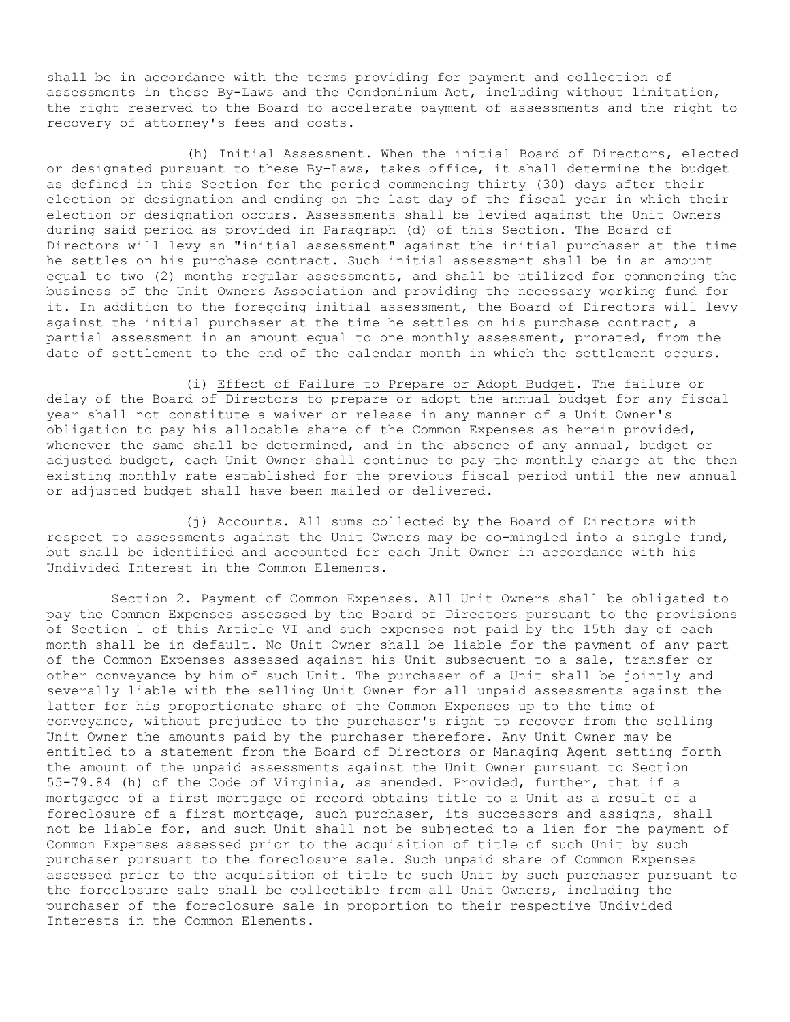shall be in accordance with the terms providing for payment and collection of assessments in these By-Laws and the Condominium Act, including without limitation, the right reserved to the Board to accelerate payment of assessments and the right to recovery of attorney's fees and costs.

(h) Initial Assessment. When the initial Board of Directors, elected or designated pursuant to these By-Laws, takes office, it shall determine the budget as defined in this Section for the period commencing thirty (30) days after their election or designation and ending on the last day of the fiscal year in which their election or designation occurs. Assessments shall be levied against the Unit Owners during said period as provided in Paragraph (d) of this Section. The Board of Directors will levy an "initial assessment" against the initial purchaser at the time he settles on his purchase contract. Such initial assessment shall be in an amount equal to two (2) months regular assessments, and shall be utilized for commencing the business of the Unit Owners Association and providing the necessary working fund for it. In addition to the foregoing initial assessment, the Board of Directors will levy against the initial purchaser at the time he settles on his purchase contract, a partial assessment in an amount equal to one monthly assessment, prorated, from the date of settlement to the end of the calendar month in which the settlement occurs.

(i) Effect of Failure to Prepare or Adopt Budget. The failure or delay of the Board of Directors to prepare or adopt the annual budget for any fiscal year shall not constitute a waiver or release in any manner of a Unit Owner's obligation to pay his allocable share of the Common Expenses as herein provided, whenever the same shall be determined, and in the absence of any annual, budget or adjusted budget, each Unit Owner shall continue to pay the monthly charge at the then existing monthly rate established for the previous fiscal period until the new annual or adjusted budget shall have been mailed or delivered.

(j) Accounts. All sums collected by the Board of Directors with respect to assessments against the Unit Owners may be co-mingled into a single fund, but shall be identified and accounted for each Unit Owner in accordance with his Undivided Interest in the Common Elements.

Section 2. Payment of Common Expenses. All Unit Owners shall be obligated to pay the Common Expenses assessed by the Board of Directors pursuant to the provisions of Section 1 of this Article VI and such expenses not paid by the 15th day of each month shall be in default. No Unit Owner shall be liable for the payment of any part of the Common Expenses assessed against his Unit subsequent to a sale, transfer or other conveyance by him of such Unit. The purchaser of a Unit shall be jointly and severally liable with the selling Unit Owner for all unpaid assessments against the latter for his proportionate share of the Common Expenses up to the time of conveyance, without prejudice to the purchaser's right to recover from the selling Unit Owner the amounts paid by the purchaser therefore. Any Unit Owner may be entitled to a statement from the Board of Directors or Managing Agent setting forth the amount of the unpaid assessments against the Unit Owner pursuant to Section 55-79.84 (h) of the Code of Virginia, as amended. Provided, further, that if a mortgagee of a first mortgage of record obtains title to a Unit as a result of a foreclosure of a first mortgage, such purchaser, its successors and assigns, shall not be liable for, and such Unit shall not be subjected to a lien for the payment of Common Expenses assessed prior to the acquisition of title of such Unit by such purchaser pursuant to the foreclosure sale. Such unpaid share of Common Expenses assessed prior to the acquisition of title to such Unit by such purchaser pursuant to the foreclosure sale shall be collectible from all Unit Owners, including the purchaser of the foreclosure sale in proportion to their respective Undivided Interests in the Common Elements.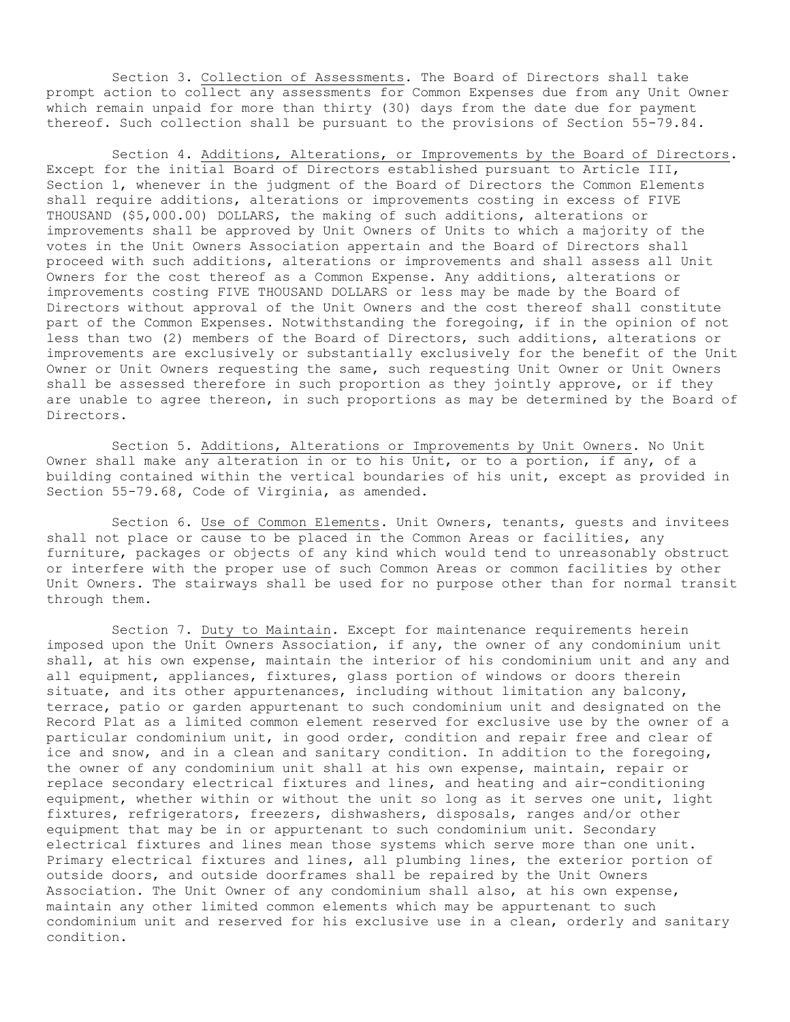Section 3. Collection of Assessments. The Board of Directors shall take prompt action to collect any assessments for Common Expenses due from any Unit Owner which remain unpaid for more than thirty (30) days from the date due for payment thereof. Such collection shall be pursuant to the provisions of Section 55-79.84.

Section 4. Additions, Alterations, or Improvements by the Board of Directors. Except for the initial Board of Directors established pursuant to Article III, Section 1, whenever in the judgment of the Board of Directors the Common Elements shall require additions, alterations or improvements costing in excess of FIVE THOUSAND (\$5,000.00) DOLLARS, the making of such additions, alterations or improvements shall be approved by Unit Owners of Units to which a majority of the votes in the Unit Owners Association appertain and the Board of Directors shall proceed with such additions, alterations or improvements and shall assess all Unit Owners for the cost thereof as a Common Expense. Any additions, alterations or improvements costing FIVE THOUSAND DOLLARS or less may be made by the Board of Directors without approval of the Unit Owners and the cost thereof shall constitute part of the Common Expenses. Notwithstanding the foregoing, if in the opinion of not less than two (2) members of the Board of Directors, such additions, alterations or improvements are exclusively or substantially exclusively for the benefit of the Unit Owner or Unit Owners requesting the same, such requesting Unit Owner or Unit Owners shall be assessed therefore in such proportion as they jointly approve, or if they are unable to agree thereon, in such proportions as may be determined by the Board of Directors.

Section 5. Additions, Alterations or Improvements by Unit Owners. No Unit Owner shall make any alteration in or to his Unit, or to a portion, if any, of a building contained within the vertical boundaries of his unit, except as provided in Section 55-79.68, Code of Virginia, as amended.

Section 6. Use of Common Elements. Unit Owners, tenants, guests and invitees shall not place or cause to be placed in the Common Areas or facilities, any furniture, packages or objects of any kind which would tend to unreasonably obstruct or interfere with the proper use of such Common Areas or common facilities by other Unit Owners. The stairways shall be used for no purpose other than for normal transit through them.

Section 7. Duty to Maintain. Except for maintenance requirements herein imposed upon the Unit Owners Association, if any, the owner of any condominium unit shall, at his own expense, maintain the interior of his condominium unit and any and all equipment, appliances, fixtures, glass portion of windows or doors therein situate, and its other appurtenances, including without limitation any balcony, terrace, patio or garden appurtenant to such condominium unit and designated on the Record Plat as a limited common element reserved for exclusive use by the owner of a particular condominium unit, in good order, condition and repair free and clear of ice and snow, and in a clean and sanitary condition. In addition to the foregoing, the owner of any condominium unit shall at his own expense, maintain, repair or replace secondary electrical fixtures and lines, and heating and air-conditioning equipment, whether within or without the unit so long as it serves one unit, light fixtures, refrigerators, freezers, dishwashers, disposals, ranges and/or other equipment that may be in or appurtenant to such condominium unit. Secondary electrical fixtures and lines mean those systems which serve more than one unit. Primary electrical fixtures and lines, all plumbing lines, the exterior portion of outside doors, and outside doorframes shall be repaired by the Unit Owners Association. The Unit Owner of any condominium shall also, at his own expense, maintain any other limited common elements which may be appurtenant to such condominium unit and reserved for his exclusive use in a clean, orderly and sanitary condition.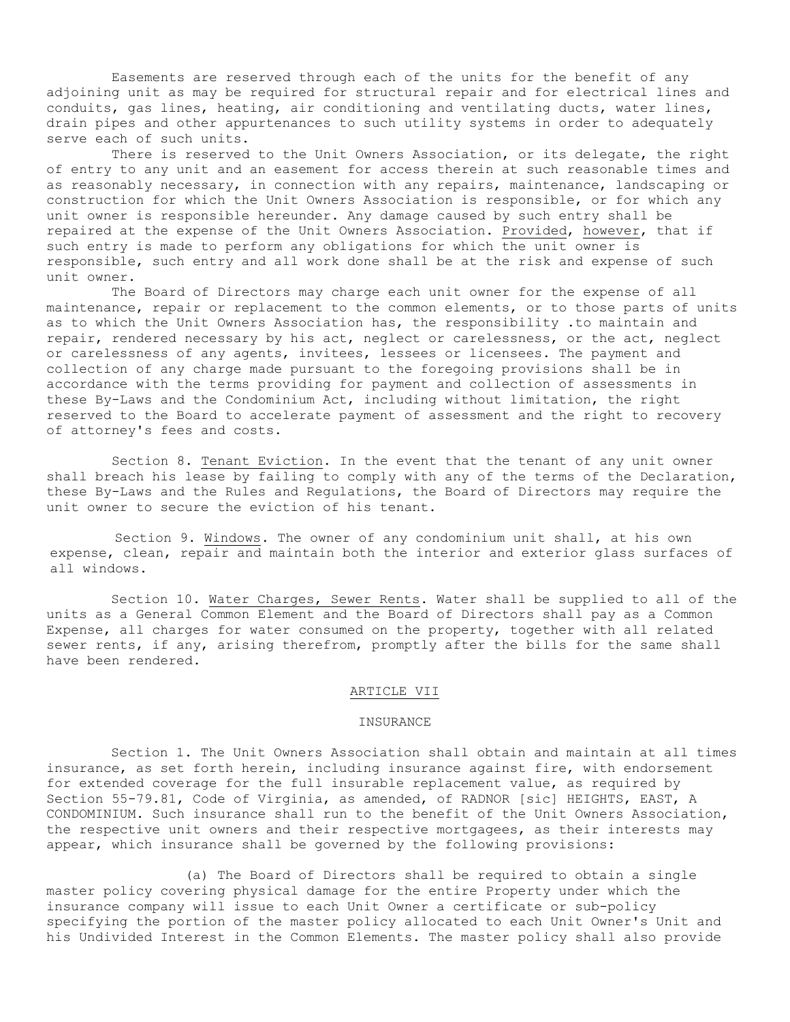Easements are reserved through each of the units for the benefit of any adjoining unit as may be required for structural repair and for electrical lines and conduits, gas lines, heating, air conditioning and ventilating ducts, water lines, drain pipes and other appurtenances to such utility systems in order to adequately serve each of such units.

There is reserved to the Unit Owners Association, or its delegate, the right of entry to any unit and an easement for access therein at such reasonable times and as reasonably necessary, in connection with any repairs, maintenance, landscaping or construction for which the Unit Owners Association is responsible, or for which any unit owner is responsible hereunder. Any damage caused by such entry shall be repaired at the expense of the Unit Owners Association. Provided, however, that if such entry is made to perform any obligations for which the unit owner is responsible, such entry and all work done shall be at the risk and expense of such unit owner.

The Board of Directors may charge each unit owner for the expense of all maintenance, repair or replacement to the common elements, or to those parts of units as to which the Unit Owners Association has, the responsibility .to maintain and repair, rendered necessary by his act, neglect or carelessness, or the act, neglect or carelessness of any agents, invitees, lessees or licensees. The payment and collection of any charge made pursuant to the foregoing provisions shall be in accordance with the terms providing for payment and collection of assessments in these By-Laws and the Condominium Act, including without limitation, the right reserved to the Board to accelerate payment of assessment and the right to recovery of attorney's fees and costs.

Section 8. Tenant Eviction. In the event that the tenant of any unit owner shall breach his lease by failing to comply with any of the terms of the Declaration, these By-Laws and the Rules and Regulations, the Board of Directors may require the unit owner to secure the eviction of his tenant.

Section 9. Windows. The owner of any condominium unit shall, at his own expense, clean, repair and maintain both the interior and exterior glass surfaces of all windows.

Section 10. Water Charges, Sewer Rents. Water shall be supplied to all of the units as a General Common Element and the Board of Directors shall pay as a Common Expense, all charges for water consumed on the property, together with all related sewer rents, if any, arising therefrom, promptly after the bills for the same shall have been rendered.

### ARTICLE VII

## INSURANCE

Section 1. The Unit Owners Association shall obtain and maintain at all times insurance, as set forth herein, including insurance against fire, with endorsement for extended coverage for the full insurable replacement value, as required by Section 55-79.81, Code of Virginia, as amended, of RADNOR [sic] HEIGHTS, EAST, A CONDOMINIUM. Such insurance shall run to the benefit of the Unit Owners Association, the respective unit owners and their respective mortgagees, as their interests may appear, which insurance shall be governed by the following provisions:

(a) The Board of Directors shall be required to obtain a single master policy covering physical damage for the entire Property under which the insurance company will issue to each Unit Owner a certificate or sub-policy specifying the portion of the master policy allocated to each Unit Owner's Unit and his Undivided Interest in the Common Elements. The master policy shall also provide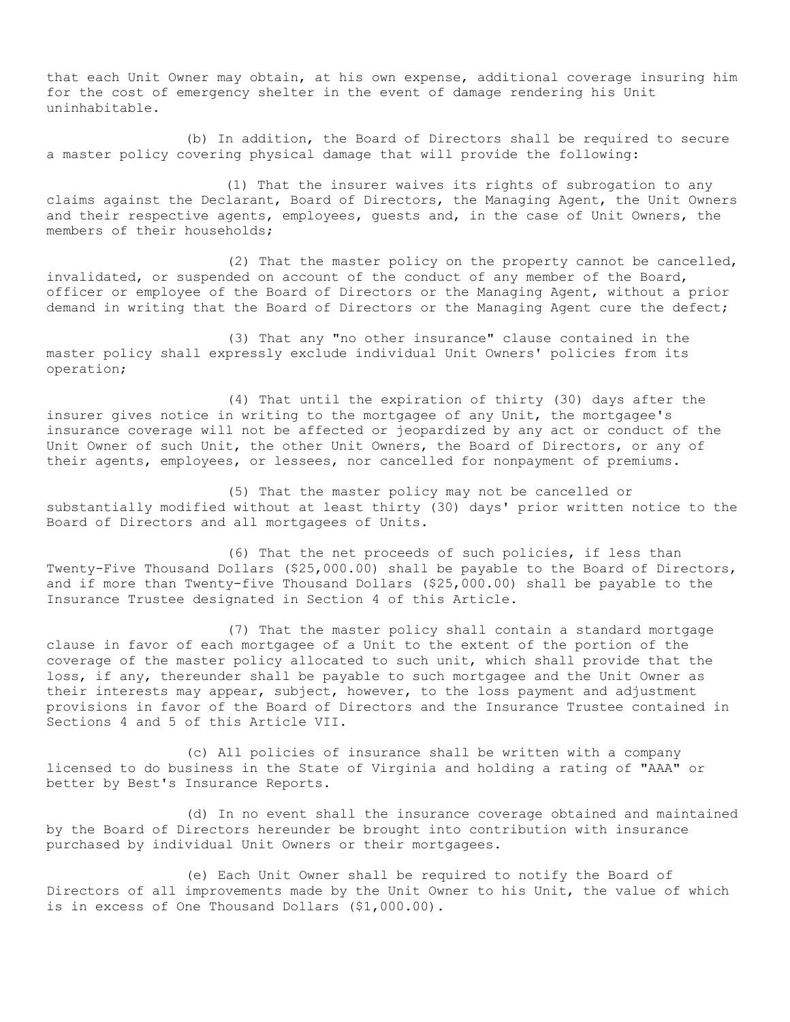that each Unit Owner may obtain, at his own expense, additional coverage insuring him for the cost of emergency shelter in the event of damage rendering his Unit uninhabitable.

(b) In addition, the Board of Directors shall be required to secure a master policy covering physical damage that will provide the following:

(1) That the insurer waives its rights of subrogation to any claims against the Declarant, Board of Directors, the Managing Agent, the Unit Owners and their respective agents, employees, guests and, in the case of Unit Owners, the members of their households;

(2) That the master policy on the property cannot be cancelled, invalidated, or suspended on account of the conduct of any member of the Board, officer or employee of the Board of Directors or the Managing Agent, without a prior demand in writing that the Board of Directors or the Managing Agent cure the defect;

(3) That any "no other insurance" clause contained in the master policy shall expressly exclude individual Unit Owners' policies from its operation;

(4) That until the expiration of thirty (30) days after the insurer gives notice in writing to the mortgagee of any Unit, the mortgagee's insurance coverage will not be affected or jeopardized by any act or conduct of the Unit Owner of such Unit, the other Unit Owners, the Board of Directors, or any of their agents, employees, or lessees, nor cancelled for nonpayment of premiums.

(5) That the master policy may not be cancelled or substantially modified without at least thirty (30) days' prior written notice to the Board of Directors and all mortgagees of Units.

(6) That the net proceeds of such policies, if less than Twenty-Five Thousand Dollars (\$25,000.00) shall be payable to the Board of Directors, and if more than Twenty-five Thousand Dollars (\$25,000.00) shall be payable to the Insurance Trustee designated in Section 4 of this Article.

(7) That the master policy shall contain a standard mortgage clause in favor of each mortgagee of a Unit to the extent of the portion of the coverage of the master policy allocated to such unit, which shall provide that the loss, if any, thereunder shall be payable to such mortgagee and the Unit Owner as their interests may appear, subject, however, to the loss payment and adjustment provisions in favor of the Board of Directors and the Insurance Trustee contained in Sections 4 and 5 of this Article VII.

(c) All policies of insurance shall be written with a company licensed to do business in the State of Virginia and holding a rating of "AAA" or better by Best's Insurance Reports.

(d) In no event shall the insurance coverage obtained and maintained by the Board of Directors hereunder be brought into contribution with insurance purchased by individual Unit Owners or their mortgagees.

(e) Each Unit Owner shall be required to notify the Board of Directors of all improvements made by the Unit Owner to his Unit, the value of which is in excess of One Thousand Dollars (\$1,000.00).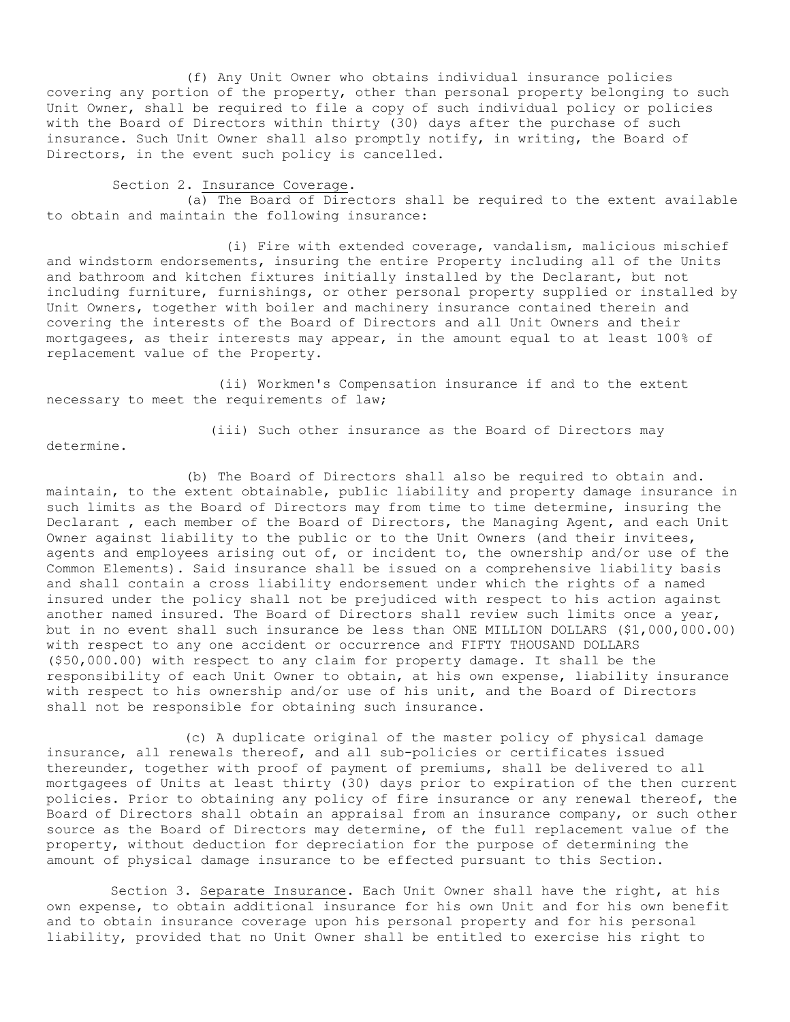(f) Any Unit Owner who obtains individual insurance policies covering any portion of the property, other than personal property belonging to such Unit Owner, shall be required to file a copy of such individual policy or policies with the Board of Directors within thirty (30) days after the purchase of such insurance. Such Unit Owner shall also promptly notify, in writing, the Board of Directors, in the event such policy is cancelled.

Section 2. Insurance Coverage.

(a) The Board of Directors shall be required to the extent available to obtain and maintain the following insurance:

(i) Fire with extended coverage, vandalism, malicious mischief and windstorm endorsements, insuring the entire Property including all of the Units and bathroom and kitchen fixtures initially installed by the Declarant, but not including furniture, furnishings, or other personal property supplied or installed by Unit Owners, together with boiler and machinery insurance contained therein and covering the interests of the Board of Directors and all Unit Owners and their mortgagees, as their interests may appear, in the amount equal to at least 100% of replacement value of the Property.

(ii) Workmen's Compensation insurance if and to the extent necessary to meet the requirements of law;

determine.

(iii) Such other insurance as the Board of Directors may

(b) The Board of Directors shall also be required to obtain and. maintain, to the extent obtainable, public liability and property damage insurance in such limits as the Board of Directors may from time to time determine, insuring the Declarant , each member of the Board of Directors, the Managing Agent, and each Unit Owner against liability to the public or to the Unit Owners (and their invitees, agents and employees arising out of, or incident to, the ownership and/or use of the Common Elements). Said insurance shall be issued on a comprehensive liability basis and shall contain a cross liability endorsement under which the rights of a named insured under the policy shall not be prejudiced with respect to his action against another named insured. The Board of Directors shall review such limits once a year, but in no event shall such insurance be less than ONE MILLION DOLLARS (\$1,000,000.00) with respect to any one accident or occurrence and FIFTY THOUSAND DOLLARS (\$50,000.00) with respect to any claim for property damage. It shall be the responsibility of each Unit Owner to obtain, at his own expense, liability insurance with respect to his ownership and/or use of his unit, and the Board of Directors shall not be responsible for obtaining such insurance.

(c) A duplicate original of the master policy of physical damage insurance, all renewals thereof, and all sub-policies or certificates issued thereunder, together with proof of payment of premiums, shall be delivered to all mortgagees of Units at least thirty (30) days prior to expiration of the then current policies. Prior to obtaining any policy of fire insurance or any renewal thereof, the Board of Directors shall obtain an appraisal from an insurance company, or such other source as the Board of Directors may determine, of the full replacement value of the property, without deduction for depreciation for the purpose of determining the amount of physical damage insurance to be effected pursuant to this Section.

Section 3. Separate Insurance. Each Unit Owner shall have the right, at his own expense, to obtain additional insurance for his own Unit and for his own benefit and to obtain insurance coverage upon his personal property and for his personal liability, provided that no Unit Owner shall be entitled to exercise his right to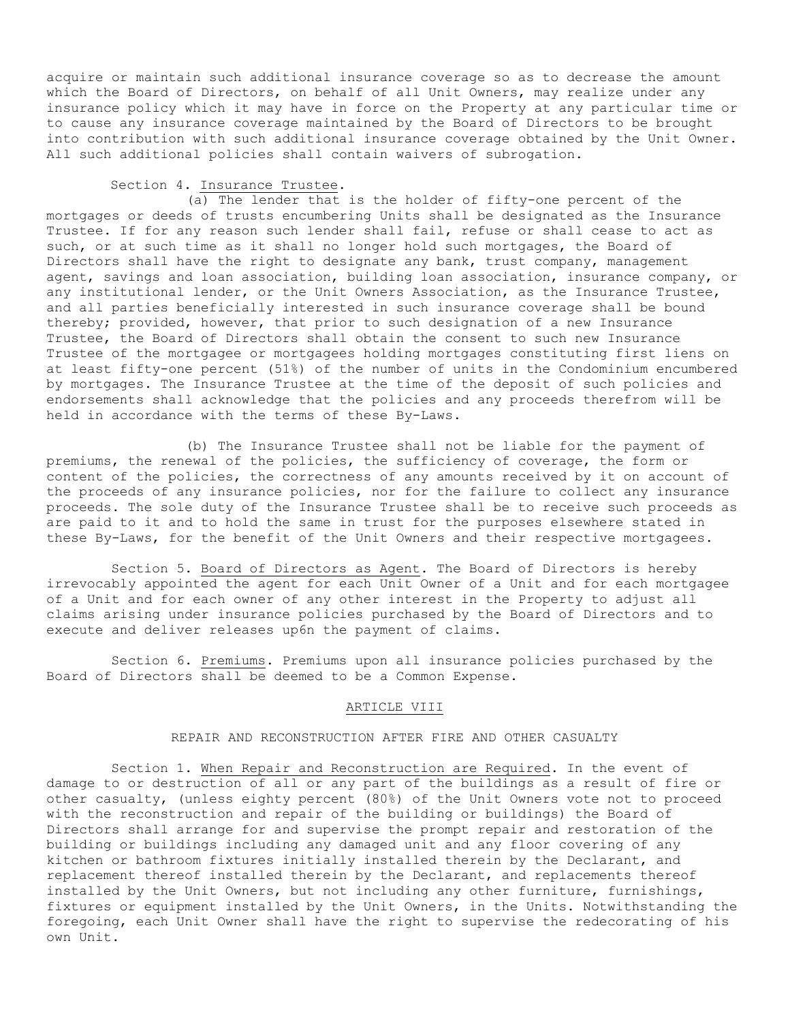acquire or maintain such additional insurance coverage so as to decrease the amount which the Board of Directors, on behalf of all Unit Owners, may realize under any insurance policy which it may have in force on the Property at any particular time or to cause any insurance coverage maintained by the Board of Directors to be brought into contribution with such additional insurance coverage obtained by the Unit Owner. All such additional policies shall contain waivers of subrogation.

# Section 4. Insurance Trustee.

(a) The lender that is the holder of fifty-one percent of the mortgages or deeds of trusts encumbering Units shall be designated as the Insurance Trustee. If for any reason such lender shall fail, refuse or shall cease to act as such, or at such time as it shall no longer hold such mortgages, the Board of Directors shall have the right to designate any bank, trust company, management agent, savings and loan association, building loan association, insurance company, or any institutional lender, or the Unit Owners Association, as the Insurance Trustee, and all parties beneficially interested in such insurance coverage shall be bound thereby; provided, however, that prior to such designation of a new Insurance Trustee, the Board of Directors shall obtain the consent to such new Insurance Trustee of the mortgagee or mortgagees holding mortgages constituting first liens on at least fifty-one percent (51%) of the number of units in the Condominium encumbered by mortgages. The Insurance Trustee at the time of the deposit of such policies and endorsements shall acknowledge that the policies and any proceeds therefrom will be held in accordance with the terms of these By-Laws.

(b) The Insurance Trustee shall not be liable for the payment of premiums, the renewal of the policies, the sufficiency of coverage, the form or content of the policies, the correctness of any amounts received by it on account of the proceeds of any insurance policies, nor for the failure to collect any insurance proceeds. The sole duty of the Insurance Trustee shall be to receive such proceeds as are paid to it and to hold the same in trust for the purposes elsewhere stated in these By-Laws, for the benefit of the Unit Owners and their respective mortgagees.

Section 5. Board of Directors as Agent. The Board of Directors is hereby irrevocably appointed the agent for each Unit Owner of a Unit and for each mortgagee of a Unit and for each owner of any other interest in the Property to adjust all claims arising under insurance policies purchased by the Board of Directors and to execute and deliver releases up6n the payment of claims.

Section 6. Premiums. Premiums upon all insurance policies purchased by the Board of Directors shall be deemed to be a Common Expense.

## ARTICLE VIII

# REPAIR AND RECONSTRUCTION AFTER FIRE AND OTHER CASUALTY

Section 1. When Repair and Reconstruction are Required. In the event of damage to or destruction of all or any part of the buildings as a result of fire or other casualty, (unless eighty percent (80%) of the Unit Owners vote not to proceed with the reconstruction and repair of the building or buildings) the Board of Directors shall arrange for and supervise the prompt repair and restoration of the building or buildings including any damaged unit and any floor covering of any kitchen or bathroom fixtures initially installed therein by the Declarant, and replacement thereof installed therein by the Declarant, and replacements thereof installed by the Unit Owners, but not including any other furniture, furnishings, fixtures or equipment installed by the Unit Owners, in the Units. Notwithstanding the foregoing, each Unit Owner shall have the right to supervise the redecorating of his own Unit.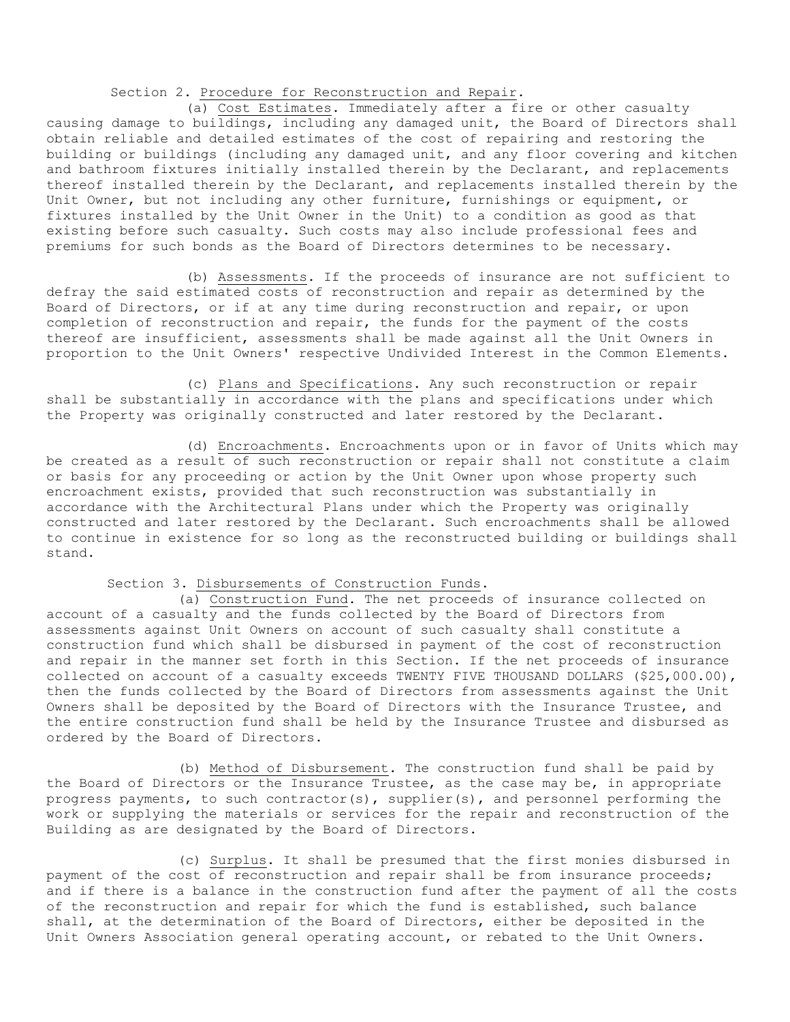# Section 2. Procedure for Reconstruction and Repair.

(a) Cost Estimates. Immediately after a fire or other casualty causing damage to buildings, including any damaged unit, the Board of Directors shall obtain reliable and detailed estimates of the cost of repairing and restoring the building or buildings (including any damaged unit, and any floor covering and kitchen and bathroom fixtures initially installed therein by the Declarant, and replacements thereof installed therein by the Declarant, and replacements installed therein by the Unit Owner, but not including any other furniture, furnishings or equipment, or fixtures installed by the Unit Owner in the Unit) to a condition as good as that existing before such casualty. Such costs may also include professional fees and premiums for such bonds as the Board of Directors determines to be necessary.

(b) Assessments. If the proceeds of insurance are not sufficient to defray the said estimated costs of reconstruction and repair as determined by the Board of Directors, or if at any time during reconstruction and repair, or upon completion of reconstruction and repair, the funds for the payment of the costs thereof are insufficient, assessments shall be made against all the Unit Owners in proportion to the Unit Owners' respective Undivided Interest in the Common Elements.

(c) Plans and Specifications. Any such reconstruction or repair shall be substantially in accordance with the plans and specifications under which the Property was originally constructed and later restored by the Declarant.

(d) Encroachments. Encroachments upon or in favor of Units which may be created as a result of such reconstruction or repair shall not constitute a claim or basis for any proceeding or action by the Unit Owner upon whose property such encroachment exists, provided that such reconstruction was substantially in accordance with the Architectural Plans under which the Property was originally constructed and later restored by the Declarant. Such encroachments shall be allowed to continue in existence for so long as the reconstructed building or buildings shall stand.

## Section 3. Disbursements of Construction Funds.

(a) Construction Fund. The net proceeds of insurance collected on account of a casualty and the funds collected by the Board of Directors from assessments against Unit Owners on account of such casualty shall constitute a construction fund which shall be disbursed in payment of the cost of reconstruction and repair in the manner set forth in this Section. If the net proceeds of insurance collected on account of a casualty exceeds TWENTY FIVE THOUSAND DOLLARS (\$25,000.00), then the funds collected by the Board of Directors from assessments against the Unit Owners shall be deposited by the Board of Directors with the Insurance Trustee, and the entire construction fund shall be held by the Insurance Trustee and disbursed as ordered by the Board of Directors.

(b) Method of Disbursement. The construction fund shall be paid by the Board of Directors or the Insurance Trustee, as the case may be, in appropriate progress payments, to such contractor(s), supplier(s), and personnel performing the work or supplying the materials or services for the repair and reconstruction of the Building as are designated by the Board of Directors.

(c) Surplus. It shall be presumed that the first monies disbursed in payment of the cost of reconstruction and repair shall be from insurance proceeds; and if there is a balance in the construction fund after the payment of all the costs of the reconstruction and repair for which the fund is established, such balance shall, at the determination of the Board of Directors, either be deposited in the Unit Owners Association general operating account, or rebated to the Unit Owners.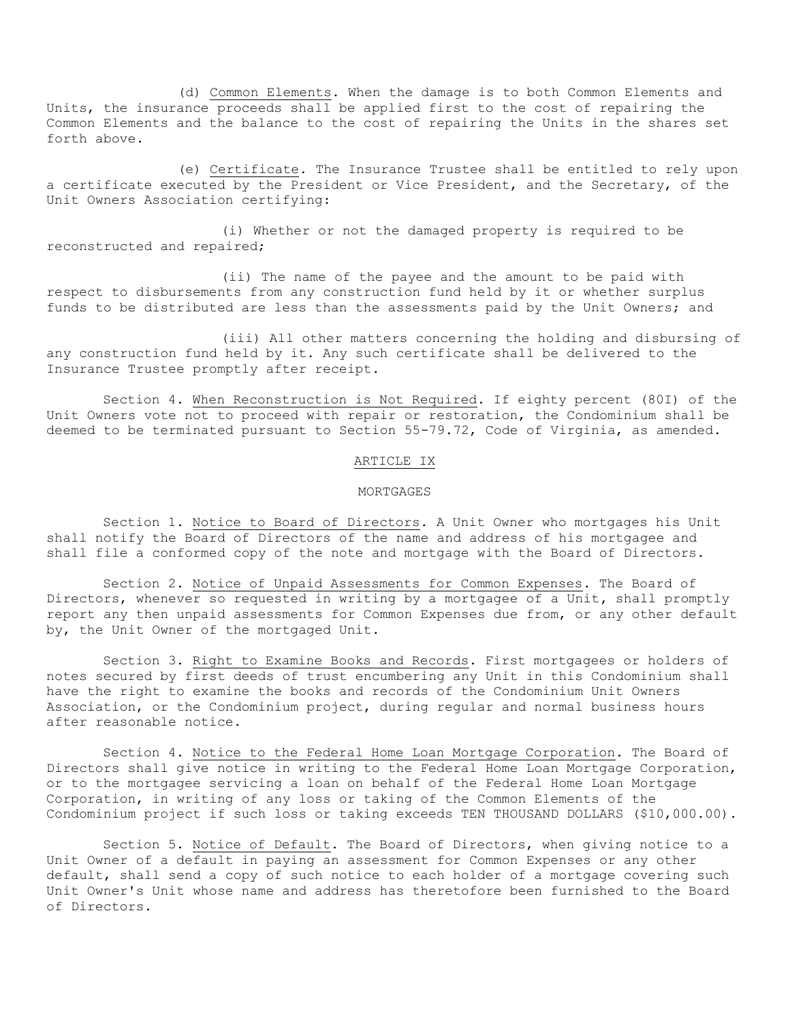(d) Common Elements. When the damage is to both Common Elements and Units, the insurance proceeds shall be applied first to the cost of repairing the Common Elements and the balance to the cost of repairing the Units in the shares set forth above.

(e) Certificate. The Insurance Trustee shall be entitled to rely upon a certificate executed by the President or Vice President, and the Secretary, of the Unit Owners Association certifying:

(i) Whether or not the damaged property is required to be reconstructed and repaired;

(ii) The name of the payee and the amount to be paid with respect to disbursements from any construction fund held by it or whether surplus funds to be distributed are less than the assessments paid by the Unit Owners; and

(iii) All other matters concerning the holding and disbursing of any construction fund held by it. Any such certificate shall be delivered to the Insurance Trustee promptly after receipt.

Section 4. When Reconstruction is Not Required. If eighty percent (80I) of the Unit Owners vote not to proceed with repair or restoration, the Condominium shall be deemed to be terminated pursuant to Section 55-79.72, Code of Virginia, as amended.

# ARTICLE IX

## MORTGAGES

Section 1. Notice to Board of Directors. A Unit Owner who mortgages his Unit shall notify the Board of Directors of the name and address of his mortgagee and shall file a conformed copy of the note and mortgage with the Board of Directors.

Section 2. Notice of Unpaid Assessments for Common Expenses. The Board of Directors, whenever so requested in writing by a mortgagee of a Unit**,** shall promptly report any then unpaid assessments for Common Expenses due from, or any other default by, the Unit Owner of the mortgaged Unit.

Section 3. Right to Examine Books and Records. First mortgagees or holders of notes secured by first deeds of trust encumbering any Unit in this Condominium shall have the right to examine the books and records of the Condominium Unit Owners Association, or the Condominium project, during regular and normal business hours after reasonable notice.

Section 4. Notice to the Federal Home Loan Mortgage Corporation. The Board of Directors shall give notice in writing to the Federal Home Loan Mortgage Corporation, or to the mortgagee servicing a loan on behalf of the Federal Home Loan Mortgage Corporation, in writing of any loss or taking of the Common Elements of the Condominium project if such loss or taking exceeds TEN THOUSAND DOLLARS (\$10,000.00).

Section 5. Notice of Default. The Board of Directors, when giving notice to a Unit Owner of a default in paying an assessment for Common Expenses or any other default, shall send a copy of such notice to each holder of a mortgage covering such Unit Owner's Unit whose name and address has theretofore been furnished to the Board of Directors.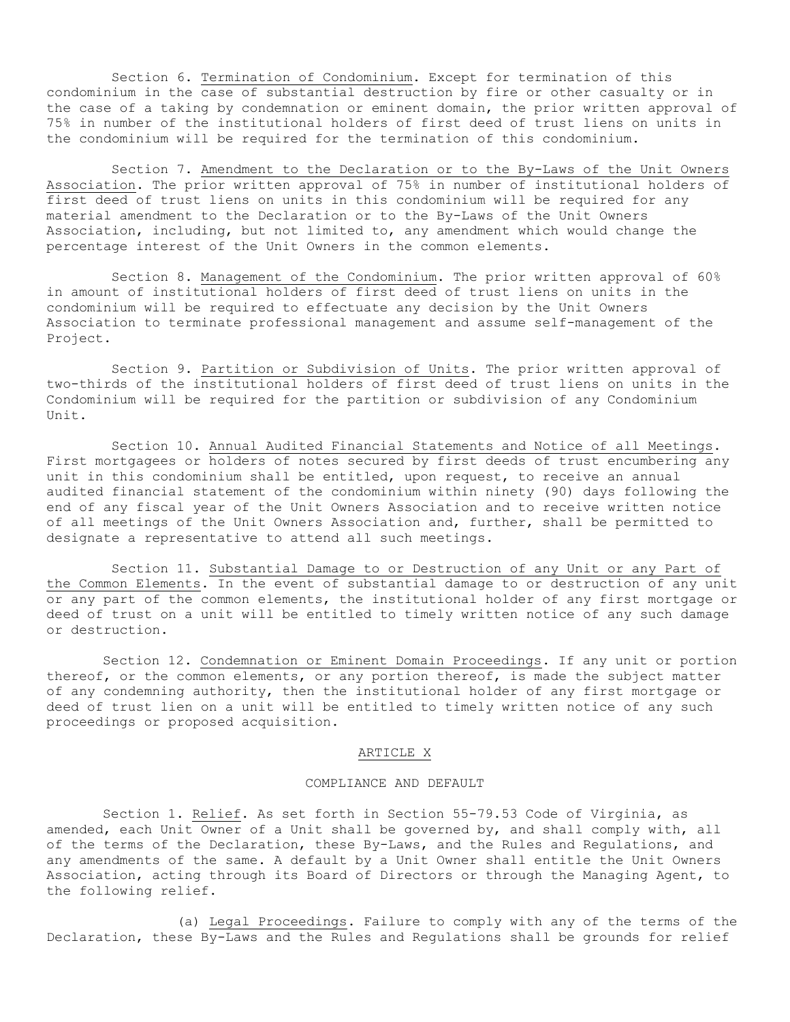Section 6. Termination of Condominium. Except for termination of this condominium in the case of substantial destruction by fire or other casualty or in the case of a taking by condemnation or eminent domain, the prior written approval of 75% in number of the institutional holders of first deed of trust liens on units in the condominium will be required for the termination of this condominium.

Section 7. Amendment to the Declaration or to the By-Laws of the Unit Owners Association. The prior written approval of 75% in number of institutional holders of first deed of trust liens on units in this condominium will be required for any material amendment to the Declaration or to the By-Laws of the Unit Owners Association, including, but not limited to, any amendment which would change the percentage interest of the Unit Owners in the common elements.

Section 8. Management of the Condominium. The prior written approval of 60% in amount of institutional holders of first deed of trust liens on units in the condominium will be required to effectuate any decision by the Unit Owners Association to terminate professional management and assume self-management of the Project.

Section 9. Partition or Subdivision of Units. The prior written approval of two-thirds of the institutional holders of first deed of trust liens on units in the Condominium will be required for the partition or subdivision of any Condominium Unit.

Section 10. Annual Audited Financial Statements and Notice of all Meetings. First mortgagees or holders of notes secured by first deeds of trust encumbering any unit in this condominium shall be entitled, upon request, to receive an annual audited financial statement of the condominium within ninety (90) days following the end of any fiscal year of the Unit Owners Association and to receive written notice of all meetings of the Unit Owners Association and, further, shall be permitted to designate a representative to attend all such meetings.

Section 11. Substantial Damage to or Destruction of any Unit or any Part of the Common Elements. In the event of substantial damage to or destruction of any unit or any part of the common elements, the institutional holder of any first mortgage or deed of trust on a unit will be entitled to timely written notice of any such damage or destruction.

Section 12. Condemnation or Eminent Domain Proceedings. If any unit or portion thereof, or the common elements, or any portion thereof, is made the subject matter of any condemning authority, then the institutional holder of any first mortgage or deed of trust lien on a unit will be entitled to timely written notice of any such proceedings or proposed acquisition.

# ARTICLE X

### COMPLIANCE AND DEFAULT

Section 1. Relief. As set forth in Section 55-79.53 Code of Virginia, as amended, each Unit Owner of a Unit shall be governed by, and shall comply with, all of the terms of the Declaration, these By-Laws, and the Rules and Regulations, and any amendments of the same. A default by a Unit Owner shall entitle the Unit Owners Association, acting through its Board of Directors or through the Managing Agent, to the following relief.

(a) Legal Proceedings. Failure to comply with any of the terms of the Declaration, these By-Laws and the Rules and Regulations shall be grounds for relief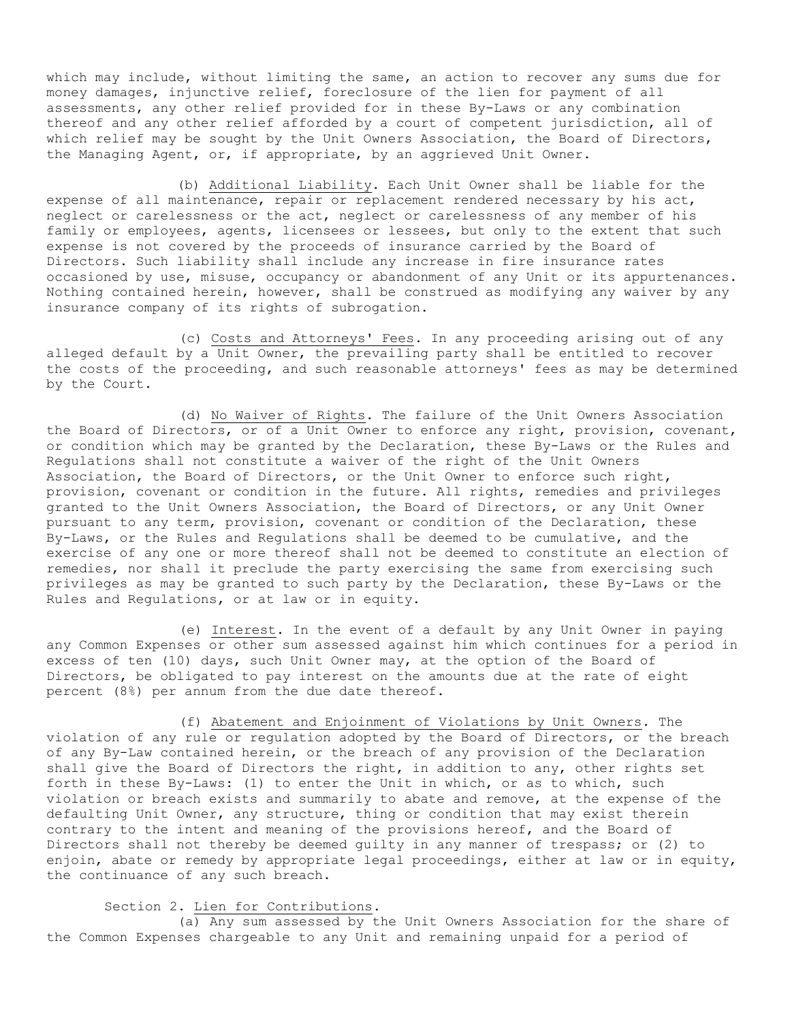which may include, without limiting the same, an action to recover any sums due for money damages, injunctive relief, foreclosure of the lien for payment of all assessments, any other relief provided for in these By-Laws or any combination thereof and any other relief afforded by a court of competent jurisdiction, all of which relief may be sought by the Unit Owners Association, the Board of Directors, the Managing Agent, or, if appropriate, by an aggrieved Unit Owner.

(b) Additional Liability. Each Unit Owner shall be liable for the expense of all maintenance, repair or replacement rendered necessary by his act, neglect or carelessness or the act, neglect or carelessness of any member of his family or employees, agents, licensees or lessees, but only to the extent that such expense is not covered by the proceeds of insurance carried by the Board of Directors. Such liability shall include any increase in fire insurance rates occasioned by use, misuse, occupancy or abandonment of any Unit or its appurtenances. Nothing contained herein, however, shall be construed as modifying any waiver by any insurance company of its rights of subrogation.

(c) Costs and Attorneys' Fees. In any proceeding arising out of any alleged default by a Unit Owner, the prevailing party shall be entitled to recover the costs of the proceeding, and such reasonable attorneys' fees as may be determined by the Court.

(d) No Waiver of Rights. The failure of the Unit Owners Association the Board of Directors, or of a Unit Owner to enforce any right, provision, covenant, or condition which may be granted by the Declaration, these By-Laws or the Rules and Regulations shall not constitute a waiver of the right of the Unit Owners Association, the Board of Directors, or the Unit Owner to enforce such right, provision, covenant or condition in the future. All rights, remedies and privileges granted to the Unit Owners Association, the Board of Directors, or any Unit Owner pursuant to any term, provision, covenant or condition of the Declaration, these By-Laws, or the Rules and Regulations shall be deemed to be cumulative, and the exercise of any one or more thereof shall not be deemed to constitute an election of remedies, nor shall it preclude the party exercising the same from exercising such privileges as may be granted to such party by the Declaration, these By-Laws or the Rules and Regulations, or at law or in equity.

(e) Interest. In the event of a default by any Unit Owner in paying any Common Expenses or other sum assessed against him which continues for a period in excess of ten (10) days, such Unit Owner may, at the option of the Board of Directors, be obligated to pay interest on the amounts due at the rate of eight percent (8%) per annum from the due date thereof.

(f) Abatement and Enjoinment of Violations by Unit Owners. The violation of any rule or regulation adopted by the Board of Directors, or the breach of any By-Law contained herein, or the breach of any provision of the Declaration shall give the Board of Directors the right, in addition to any, other rights set forth in these By-Laws: (1) to enter the Unit in which, or as to which, such violation or breach exists and summarily to abate and remove, at the expense of the defaulting Unit Owner, any structure, thing or condition that may exist therein contrary to the intent and meaning of the provisions hereof, and the Board of Directors shall not thereby be deemed guilty in any manner of trespass; or (2) to enjoin, abate or remedy by appropriate legal proceedings, either at law or in equity, the continuance of any such breach.

Section 2. Lien for Contributions.

(a) Any sum assessed by the Unit Owners Association for the share of the Common Expenses chargeable to any Unit and remaining unpaid for a period of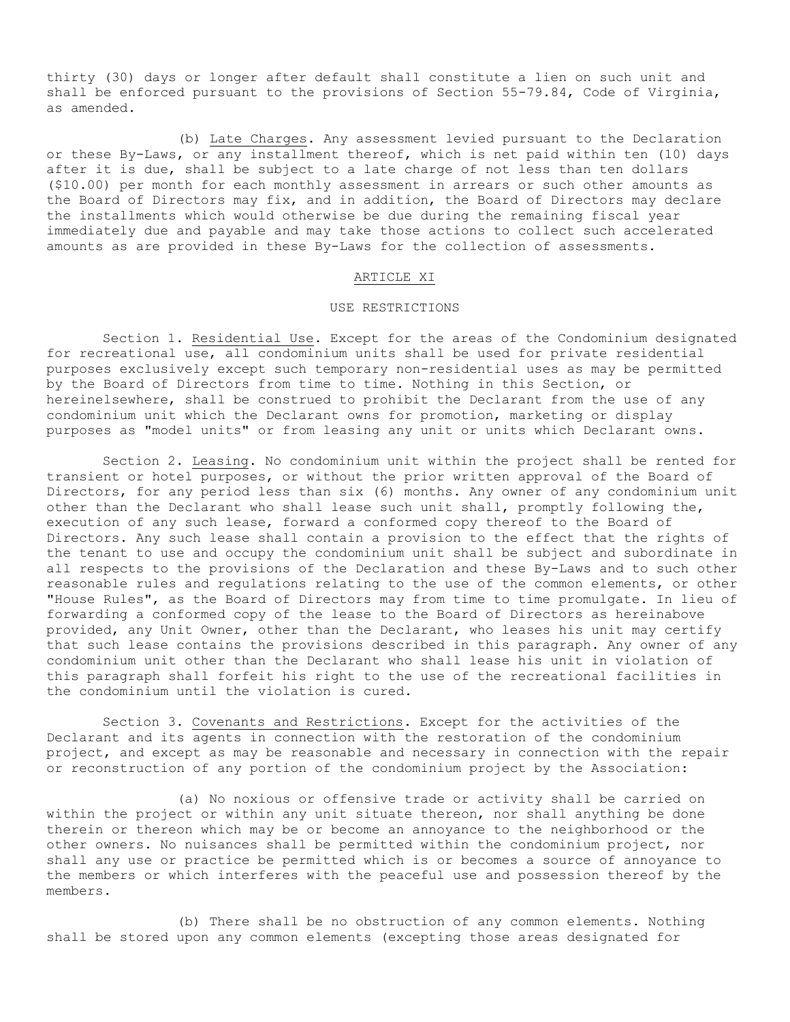thirty (30) days or longer after default shall constitute a lien on such unit and shall be enforced pursuant to the provisions of Section 55-79.84, Code of Virginia, as amended.

(b) Late Charges. Any assessment levied pursuant to the Declaration or these By-Laws, or any installment thereof, which is net paid within ten (10) days after it is due, shall be subject to a late charge of not less than ten dollars (\$10.00) per month for each monthly assessment in arrears or such other amounts as the Board of Directors may fix, and in addition, the Board of Directors may declare the installments which would otherwise be due during the remaining fiscal year immediately due and payable and may take those actions to collect such accelerated amounts as are provided in these By-Laws for the collection of assessments.

## ARTICLE XI

### USE RESTRICTIONS

Section 1. Residential Use. Except for the areas of the Condominium designated for recreational use, all condominium units shall be used for private residential purposes exclusively except such temporary non-residential uses as may be permitted by the Board of Directors from time to time. Nothing in this Section, or hereinelsewhere, shall be construed to prohibit the Declarant from the use of any condominium unit which the Declarant owns for promotion, marketing or display purposes as "model units" or from leasing any unit or units which Declarant owns.

Section 2. Leasing. No condominium unit within the project shall be rented for transient or hotel purposes, or without the prior written approval of the Board of Directors, for any period less than six (6) months. Any owner of any condominium unit other than the Declarant who shall lease such unit shall, promptly following the, execution of any such lease, forward a conformed copy thereof to the Board of Directors. Any such lease shall contain a provision to the effect that the rights of the tenant to use and occupy the condominium unit shall be subject and subordinate in all respects to the provisions of the Declaration and these By-Laws and to such other reasonable rules and regulations relating to the use of the common elements, or other "House Rules", as the Board of Directors may from time to time promulgate. In lieu of forwarding a conformed copy of the lease to the Board of Directors as hereinabove provided, any Unit Owner, other than the Declarant, who leases his unit may certify that such lease contains the provisions described in this paragraph. Any owner of any condominium unit other than the Declarant who shall lease his unit in violation of this paragraph shall forfeit his right to the use of the recreational facilities in the condominium until the violation is cured.

Section 3. Covenants and Restrictions. Except for the activities of the Declarant and its agents in connection with the restoration of the condominium project, and except as may be reasonable and necessary in connection with the repair or reconstruction of any portion of the condominium project by the Association:

(a) No noxious or offensive trade or activity shall be carried on within the project or within any unit situate thereon, nor shall anything be done therein or thereon which may be or become an annoyance to the neighborhood or the other owners. No nuisances shall be permitted within the condominium project, nor shall any use or practice be permitted which is or becomes a source of annoyance to the members or which interferes with the peaceful use and possession thereof by the members.

(b) There shall be no obstruction of any common elements. Nothing shall be stored upon any common elements (excepting those areas designated for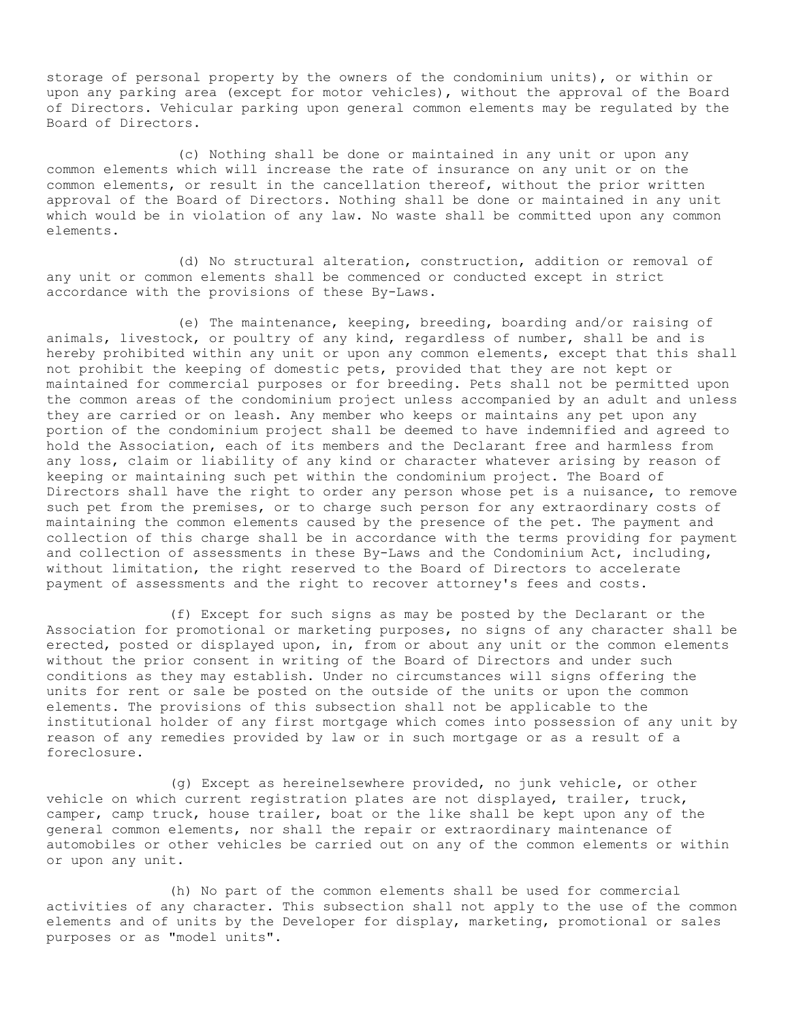storage of personal property by the owners of the condominium units), or within or upon any parking area (except for motor vehicles), without the approval of the Board of Directors. Vehicular parking upon general common elements may be regulated by the Board of Directors.

(c) Nothing shall be done or maintained in any unit or upon any common elements which will increase the rate of insurance on any unit or on the common elements, or result in the cancellation thereof, without the prior written approval of the Board of Directors. Nothing shall be done or maintained in any unit which would be in violation of any law. No waste shall be committed upon any common elements.

(d) No structural alteration, construction, addition or removal of any unit or common elements shall be commenced or conducted except in strict accordance with the provisions of these By-Laws.

(e) The maintenance, keeping, breeding, boarding and/or raising of animals, livestock, or poultry of any kind, regardless of number, shall be and is hereby prohibited within any unit or upon any common elements, except that this shall not prohibit the keeping of domestic pets, provided that they are not kept or maintained for commercial purposes or for breeding. Pets shall not be permitted upon the common areas of the condominium project unless accompanied by an adult and unless they are carried or on leash. Any member who keeps or maintains any pet upon any portion of the condominium project shall be deemed to have indemnified and agreed to hold the Association, each of its members and the Declarant free and harmless from any loss, claim or liability of any kind or character whatever arising by reason of keeping or maintaining such pet within the condominium project. The Board of Directors shall have the right to order any person whose pet is a nuisance, to remove such pet from the premises, or to charge such person for any extraordinary costs of maintaining the common elements caused by the presence of the pet. The payment and collection of this charge shall be in accordance with the terms providing for payment and collection of assessments in these By-Laws and the Condominium Act, including, without limitation, the right reserved to the Board of Directors to accelerate payment of assessments and the right to recover attorney's fees and costs.

(f) Except for such signs as may be posted by the Declarant or the Association for promotional or marketing purposes, no signs of any character shall be erected, posted or displayed upon, in, from or about any unit or the common elements without the prior consent in writing of the Board of Directors and under such conditions as they may establish. Under no circumstances will signs offering the units for rent or sale be posted on the outside of the units or upon the common elements. The provisions of this subsection shall not be applicable to the institutional holder of any first mortgage which comes into possession of any unit by reason of any remedies provided by law or in such mortgage or as a result of a foreclosure.

(g) Except as hereinelsewhere provided, no junk vehicle, or other vehicle on which current registration plates are not displayed, trailer, truck, camper, camp truck, house trailer, boat or the like shall be kept upon any of the general common elements, nor shall the repair or extraordinary maintenance of automobiles or other vehicles be carried out on any of the common elements or within or upon any unit.

(h) No part of the common elements shall be used for commercial activities of any character. This subsection shall not apply to the use of the common elements and of units by the Developer for display, marketing, promotional or sales purposes or as "model units".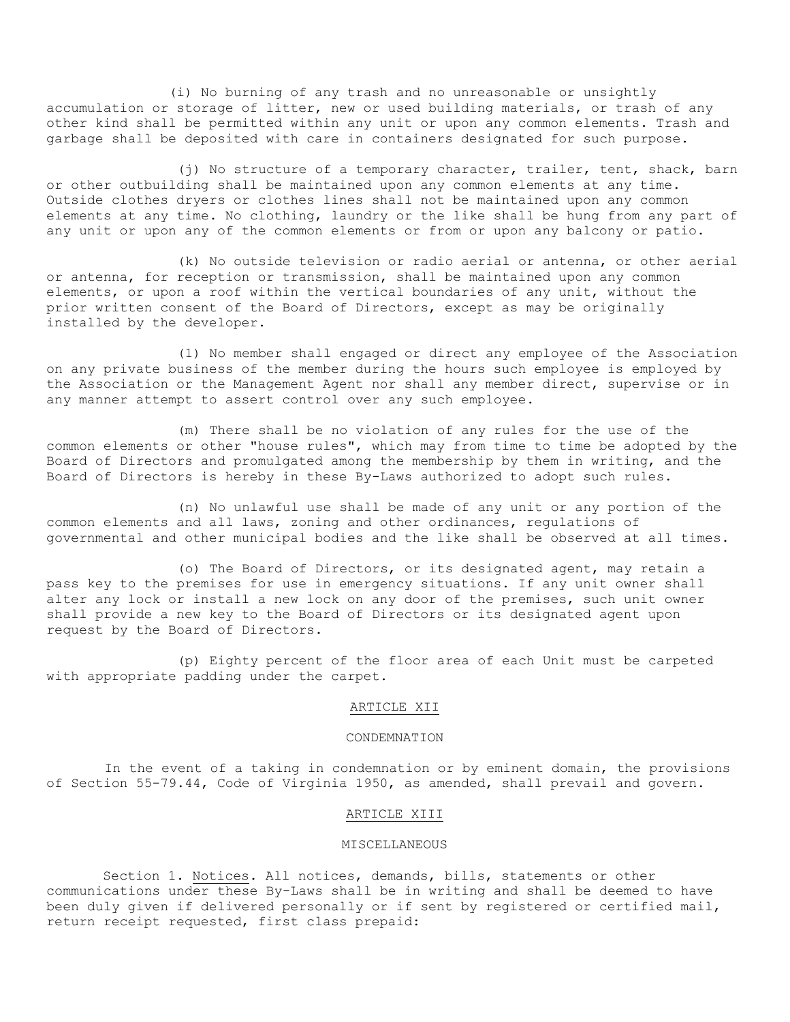(i) No burning of any trash and no unreasonable or unsightly accumulation or storage of litter, new or used building materials, or trash of any other kind shall be permitted within any unit or upon any common elements. Trash and garbage shall be deposited with care in containers designated for such purpose.

(j) No structure of a temporary character, trailer, tent, shack, barn or other outbuilding shall be maintained upon any common elements at any time. Outside clothes dryers or clothes lines shall not be maintained upon any common elements at any time. No clothing, laundry or the like shall be hung from any part of any unit or upon any of the common elements or from or upon any balcony or patio.

(k) No outside television or radio aerial or antenna, or other aerial or antenna, for reception or transmission, shall be maintained upon any common elements, or upon a roof within the vertical boundaries of any unit, without the prior written consent of the Board of Directors, except as may be originally installed by the developer.

(1) No member shall engaged or direct any employee of the Association on any private business of the member during the hours such employee is employed by the Association or the Management Agent nor shall any member direct, supervise or in any manner attempt to assert control over any such employee.

(m) There shall be no violation of any rules for the use of the common elements or other "house rules", which may from time to time be adopted by the Board of Directors and promulgated among the membership by them in writing, and the Board of Directors is hereby in these By-Laws authorized to adopt such rules.

(n) No unlawful use shall be made of any unit or any portion of the common elements and all laws, zoning and other ordinances, regulations of governmental and other municipal bodies and the like shall be observed at all times.

(o) The Board of Directors, or its designated agent, may retain a pass key to the premises for use in emergency situations. If any unit owner shall alter any lock or install a new lock on any door of the premises, such unit owner shall provide a new key to the Board of Directors or its designated agent upon request by the Board of Directors.

(p) Eighty percent of the floor area of each Unit must be carpeted with appropriate padding under the carpet.

## ARTICLE XII

## CONDEMNATION

In the event of a taking in condemnation or by eminent domain, the provisions of Section 55-79.44, Code of Virginia 1950, as amended, shall prevail and govern.

### ARTICLE XIII

## MISCELLANEOUS

Section 1. Notices. All notices, demands, bills, statements or other communications under these By-Laws shall be in writing and shall be deemed to have been duly given if delivered personally or if sent by registered or certified mail, return receipt requested, first class prepaid: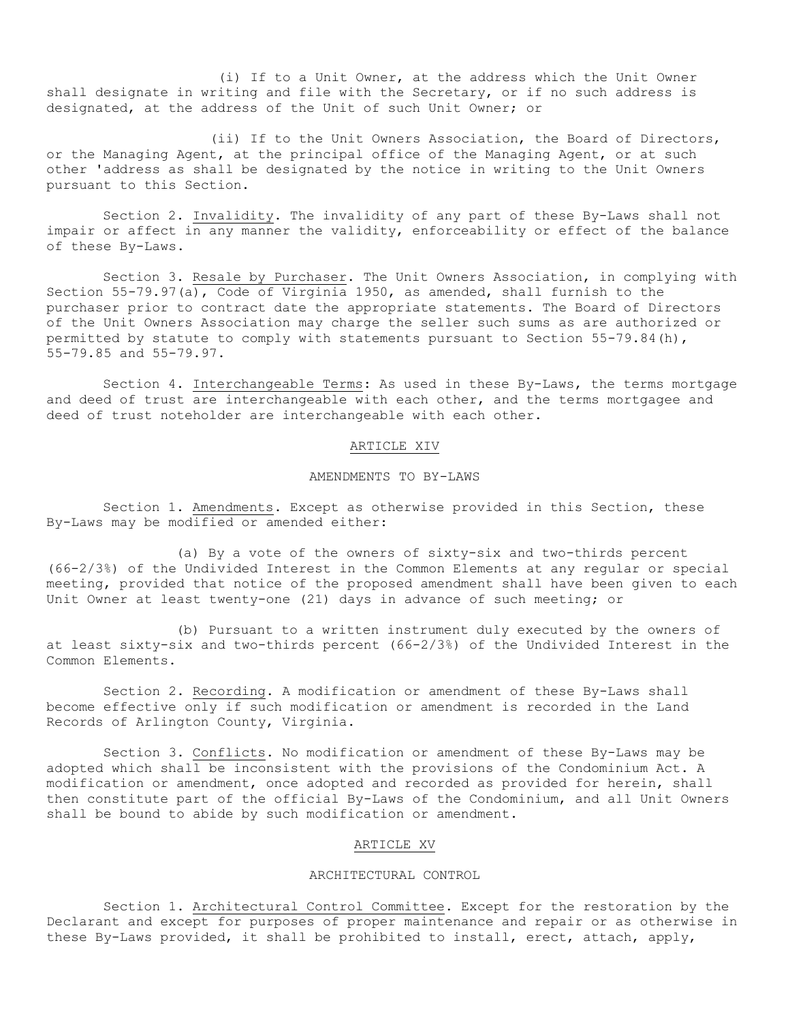(i) If to a Unit Owner, at the address which the Unit Owner shall designate in writing and file with the Secretary, or if no such address is designated, at the address of the Unit of such Unit Owner; or

(ii) If to the Unit Owners Association, the Board of Directors, or the Managing Agent, at the principal office of the Managing Agent, or at such other 'address as shall be designated by the notice in writing to the Unit Owners pursuant to this Section.

Section 2. Invalidity. The invalidity of any part of these By-Laws shall not impair or affect in any manner the validity, enforceability or effect of the balance of these By-Laws.

Section 3. Resale by Purchaser. The Unit Owners Association, in complying with Section 55-79.97(a), Code of Virginia 1950, as amended, shall furnish to the purchaser prior to contract date the appropriate statements. The Board of Directors of the Unit Owners Association may charge the seller such sums as are authorized or permitted by statute to comply with statements pursuant to Section 55-79.84(h), 55-79.85 and 55-79.97.

Section 4. Interchangeable Terms: As used in these By-Laws, the terms mortgage and deed of trust are interchangeable with each other, and the terms mortgagee and deed of trust noteholder are interchangeable with each other.

## ARTICLE XIV

# AMENDMENTS TO BY-LAWS

Section 1. Amendments. Except as otherwise provided in this Section, these By-Laws may be modified or amended either:

(a) By a vote of the owners of sixty-six and two-thirds percent (66-2/3%) of the Undivided Interest in the Common Elements at any regular or special meeting, provided that notice of the proposed amendment shall have been given to each Unit Owner at least twenty-one (21) days in advance of such meeting; or

(b) Pursuant to a written instrument duly executed by the owners of at least sixty-six and two-thirds percent (66-2/3%) of the Undivided Interest in the Common Elements.

Section 2. Recording. A modification or amendment of these By-Laws shall become effective only if such modification or amendment is recorded in the Land Records of Arlington County, Virginia.

Section 3. Conflicts. No modification or amendment of these By-Laws may be adopted which shall be inconsistent with the provisions of the Condominium Act. A modification or amendment, once adopted and recorded as provided for herein, shall then constitute part of the official By-Laws of the Condominium, and all Unit Owners shall be bound to abide by such modification or amendment.

## ARTICLE XV

#### ARCHITECTURAL CONTROL

Section 1. Architectural Control Committee. Except for the restoration by the Declarant and except for purposes of proper maintenance and repair or as otherwise in these By-Laws provided, it shall be prohibited to install, erect, attach, apply,